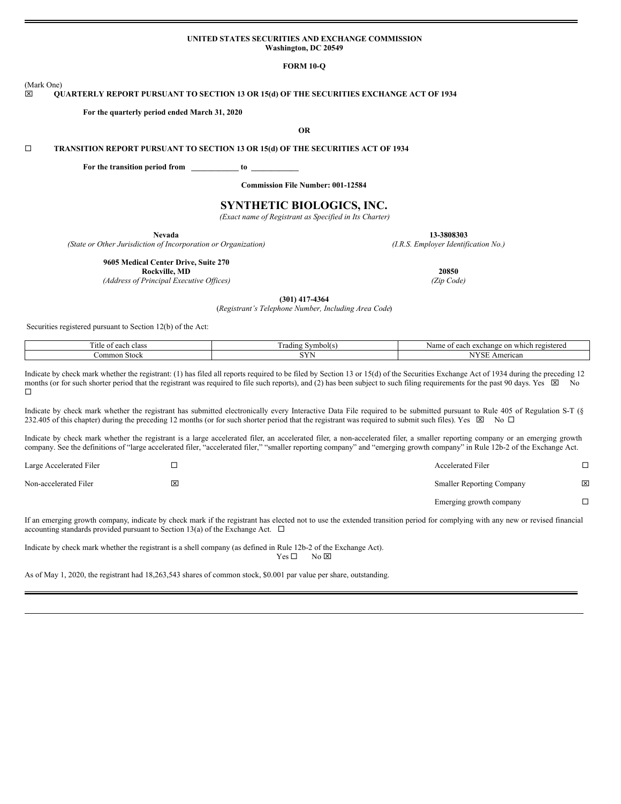#### **UNITED STATES SECURITIES AND EXCHANGE COMMISSION Washington, DC 20549**

**FORM 10-Q**

(Mark One)

# x **QUARTERLY REPORT PURSUANT TO SECTION 13 OR 15(d) OF THE SECURITIES EXCHANGE ACT OF 1934**

**For the quarterly period ended March 31, 2020**

**OR**

¨ **TRANSITION REPORT PURSUANT TO SECTION 13 OR 15(d) OF THE SECURITIES ACT OF 1934**

**For the transition period from \_\_\_\_\_\_\_\_\_\_\_\_ to \_\_\_\_\_\_\_\_\_\_\_\_**

**Commission File Number: 001-12584**

# **SYNTHETIC BIOLOGICS, INC.**

*(Exact name of Registrant as Specified in Its Charter)*

*(State or Other Jurisdiction of Incorporation or Organization) (I.R.S. Employer Identification No.)*

**Nevada 13-3808303**

**9605 Medical Center Drive, Suite 270**

**Rockville, MD 20850** *(Address of Principal Executive Of ices) (Zip Code)*

**(301) 417-4364**

(*Registrant's Telephone Number, Including Area Code*)

Securities registered pursuant to Section 12(b) of the Act:

| $\sim$<br>itle of eac<br>class | Fadıng<br>Symbol(s) | ange on which registered<br>Name<br>$\alpha v \alpha k$<br>each<br>$^{\rm O1}$<br>ехспанес |
|--------------------------------|---------------------|--------------------------------------------------------------------------------------------|
| ∴ommon Stock                   | <b>CVN</b>          | <b>MIXZOT</b><br>Americal.<br>ðГ                                                           |

Indicate by check mark whether the registrant: (1) has filed all reports required to be filed by Section 13 or 15(d) of the Securities Exchange Act of 1934 during the preceding 12 months (or for such shorter period that the registrant was required to file such reports), and (2) has been subject to such filing requirements for the past 90 days. Yes  $\boxtimes$  No  $\Box$ 

Indicate by check mark whether the registrant has submitted electronically every Interactive Data File required to be submitted pursuant to Rule 405 of Regulation S-T (§ 232.405 of this chapter) during the preceding 12 months (or for such shorter period that the registrant was required to submit such files). Yes  $\boxtimes$  No  $\Box$ 

Indicate by check mark whether the registrant is a large accelerated filer, an accelerated filer, a non-accelerated filer, a smaller reporting company or an emerging growth company. See the definitions of "large accelerated filer, "accelerated filer," "smaller reporting company" and "emerging growth company" in Rule 12b-2 of the Exchange Act.

| Large Accelerated Filer |   | <b>Accelerated Filer</b>         |   |
|-------------------------|---|----------------------------------|---|
| Non-accelerated Filer   | × | <b>Smaller Reporting Company</b> | ⊠ |
|                         |   | Emerging growth company          |   |

If an emerging growth company, indicate by check mark if the registrant has elected not to use the extended transition period for complying with any new or revised financial accounting standards provided pursuant to Section 13(a) of the Exchange Act.  $\Box$ 

Indicate by check mark whether the registrant is a shell company (as defined in Rule 12b-2 of the Exchange Act).  $Yes \Box$  No  $X$ 

As of May 1, 2020, the registrant had 18,263,543 shares of common stock, \$0.001 par value per share, outstanding.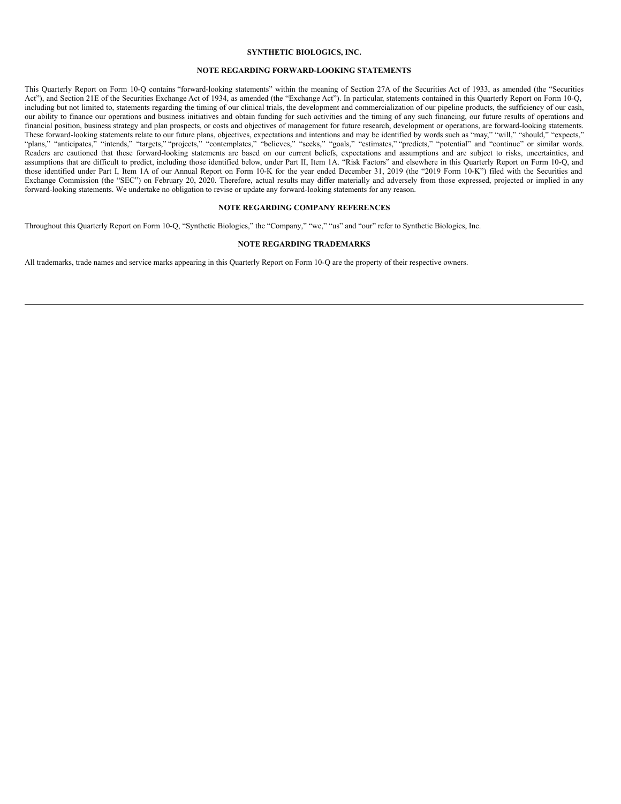## **SYNTHETIC BIOLOGICS, INC.**

# **NOTE REGARDING FORWARD-LOOKING STATEMENTS**

This Quarterly Report on Form 10-Q contains "forward-looking statements" within the meaning of Section 27A of the Securities Act of 1933, as amended (the "Securities Act"), and Section 21E of the Securities Exchange Act of 1934, as amended (the "Exchange Act"). In particular, statements contained in this Quarterly Report on Form 10-Q, including but not limited to, statements regarding the timing of our clinical trials, the development and commercialization of our pipeline products, the sufficiency of our cash, our ability to finance our operations and business initiatives and obtain funding for such activities and the timing of any such financing, our future results of operations and financial position, business strategy and plan prospects, or costs and objectives of management for future research, development or operations, are forward-looking statements. These forward-looking statements relate to our future plans, objectives, expectations and intentions and may be identified by words such as "may," "will," "should," "expects," "plans," "anticipates," "intends," "targets," "projects," "contemplates," "believes," "seeks," "goals," "estimates," "predicts," "potential" and "continue" or similar words. Readers are cautioned that these forward-looking statements are based on our current beliefs, expectations and assumptions and are subject to risks, uncertainties, and Readers are cautioned that these forward-looking state assumptions that are difficult to predict, including those identified below, under Part II, Item 1A. "Risk Factors" and elsewhere in this Quarterly Report on Form 10-Q, and assumptions that are difficult to predict, includ those identified under Part I, Item 1A of our Annual Report on Form 10-K for the year ended December 31, 2019 (the "2019 Form 10-K") filed with the Securities and Exchange Commission (the "SEC") on February 20, 2020. Therefore, actual results may differ materially and adversely from those expressed, projected or implied in any forward-looking statements. We undertake no obligation to revise or update any forward-looking statements for any reason.

# **NOTE REGARDING COMPANY REFERENCES**

Throughout this Quarterly Report on Form 10-Q, "Synthetic Biologics," the "Company," "we," "us" and "our" refer to Synthetic Biologics, Inc.

# **NOTE REGARDING TRADEMARKS**

All trademarks, trade names and service marks appearing in this Quarterly Report on Form 10-Q are the property of their respective owners.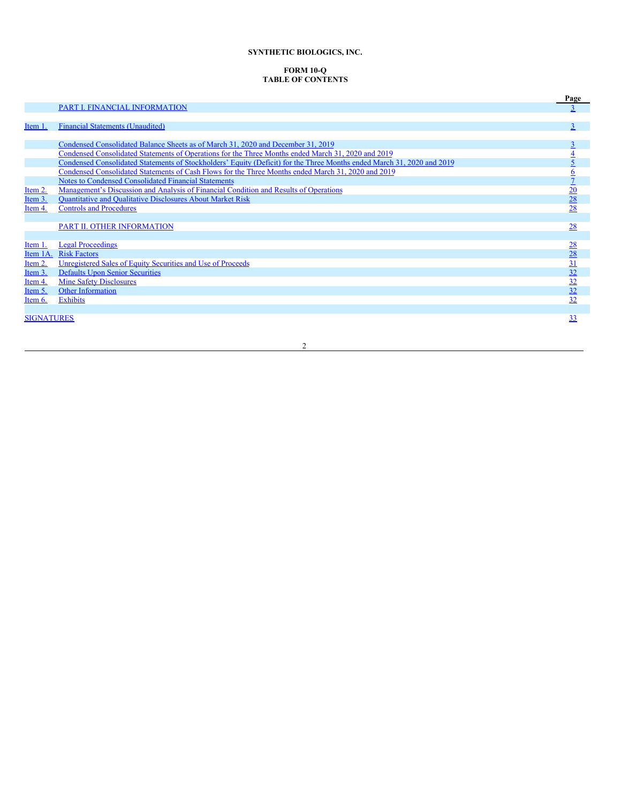# **SYNTHETIC BIOLOGICS, INC.**

# **FORM 10-Q TABLE OF CONTENTS**

|                   |                                                                                                                        | Page                                            |
|-------------------|------------------------------------------------------------------------------------------------------------------------|-------------------------------------------------|
|                   | <b>PART I. FINANCIAL INFORMATION</b>                                                                                   | 3                                               |
|                   |                                                                                                                        |                                                 |
| Item 1.           | <b>Financial Statements (Unaudited)</b>                                                                                | 3                                               |
|                   |                                                                                                                        |                                                 |
|                   | Condensed Consolidated Balance Sheets as of March 31, 2020 and December 31, 2019                                       | $\overline{3}$                                  |
|                   | Condensed Consolidated Statements of Operations for the Three Months ended March 31, 2020 and 2019                     |                                                 |
|                   | Condensed Consolidated Statements of Stockholders' Equity (Deficit) for the Three Months ended March 31, 2020 and 2019 | $\frac{4}{5}$                                   |
|                   | Condensed Consolidated Statements of Cash Flows for the Three Months ended March 31, 2020 and 2019                     |                                                 |
|                   | <b>Notes to Condensed Consolidated Financial Statements</b>                                                            | $\frac{6}{7}$                                   |
| Item 2.           | Management's Discussion and Analysis of Financial Condition and Results of Operations                                  | $\frac{20}{28}$                                 |
| Item 3.           | <b>Quantitative and Qualitative Disclosures About Market Risk</b>                                                      |                                                 |
| Item 4.           | <b>Controls and Procedures</b>                                                                                         | $\overline{28}$                                 |
|                   |                                                                                                                        |                                                 |
|                   | PART II. OTHER INFORMATION                                                                                             | 28                                              |
|                   |                                                                                                                        |                                                 |
| Item 1.           | <b>Legal Proceedings</b>                                                                                               |                                                 |
| Item 1A.          | <b>Risk Factors</b>                                                                                                    |                                                 |
| Item 2.           | Unregistered Sales of Equity Securities and Use of Proceeds                                                            | $\frac{28}{28}$ $\frac{31}{32}$ $\frac{32}{32}$ |
| Item 3.           | <b>Defaults Upon Senior Securities</b>                                                                                 |                                                 |
| Item 4.           | <b>Mine Safety Disclosures</b>                                                                                         |                                                 |
| Item 5.           | <b>Other Information</b>                                                                                               |                                                 |
| Item $6.$         | <b>Exhibits</b>                                                                                                        | 32                                              |
|                   |                                                                                                                        |                                                 |
| <b>SIGNATURES</b> |                                                                                                                        | 33                                              |
|                   |                                                                                                                        |                                                 |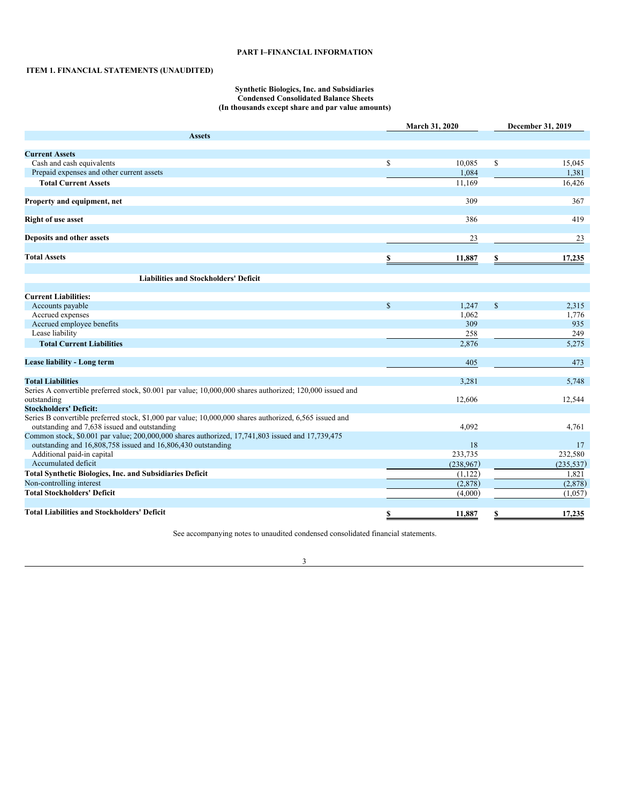# <span id="page-3-0"></span>**PART I–FINANCIAL INFORMATION**

# <span id="page-3-1"></span>**ITEM 1. FINANCIAL STATEMENTS (UNAUDITED)**

### <span id="page-3-2"></span>**Synthetic Biologics, Inc. and Subsidiaries Condensed Consolidated Balance Sheets (In thousands except share and par value amounts)**

|                                                                                                                                                                  | March 31, 2020 |           | December 31, 2019 |            |
|------------------------------------------------------------------------------------------------------------------------------------------------------------------|----------------|-----------|-------------------|------------|
| <b>Assets</b>                                                                                                                                                    |                |           |                   |            |
|                                                                                                                                                                  |                |           |                   |            |
| <b>Current Assets</b>                                                                                                                                            |                |           |                   |            |
| Cash and cash equivalents                                                                                                                                        | \$             | 10,085    | \$                | 15,045     |
| Prepaid expenses and other current assets                                                                                                                        |                | 1,084     |                   | 1,381      |
| <b>Total Current Assets</b>                                                                                                                                      |                | 11,169    |                   | 16,426     |
| Property and equipment, net                                                                                                                                      |                | 309       |                   | 367        |
| <b>Right of use asset</b>                                                                                                                                        |                | 386       |                   | 419        |
| Deposits and other assets                                                                                                                                        |                | 23        |                   | 23         |
| <b>Total Assets</b>                                                                                                                                              |                | 11,887    |                   | 17,235     |
| <b>Liabilities and Stockholders' Deficit</b>                                                                                                                     |                |           |                   |            |
|                                                                                                                                                                  |                |           |                   |            |
| <b>Current Liabilities:</b>                                                                                                                                      |                |           |                   |            |
| Accounts payable                                                                                                                                                 | $\mathbb{S}$   | 1,247     | $\mathbb{S}$      | 2,315      |
| Accrued expenses                                                                                                                                                 |                | 1,062     |                   | 1,776      |
| Accrued employee benefits                                                                                                                                        |                | 309       |                   | 935        |
| Lease liability                                                                                                                                                  |                | 258       |                   | 249        |
| <b>Total Current Liabilities</b>                                                                                                                                 |                | 2,876     |                   | 5,275      |
| Lease liability - Long term                                                                                                                                      |                | 405       |                   | 473        |
| <b>Total Liabilities</b>                                                                                                                                         |                | 3,281     |                   | 5,748      |
| Series A convertible preferred stock, \$0.001 par value; 10,000,000 shares authorized; 120,000 issued and                                                        |                |           |                   |            |
| outstanding                                                                                                                                                      |                | 12,606    |                   | 12,544     |
| <b>Stockholders' Deficit:</b>                                                                                                                                    |                |           |                   |            |
| Series B convertible preferred stock, \$1,000 par value; 10,000,000 shares authorized, 6,565 issued and<br>outstanding and 7,638 issued and outstanding          |                | 4,092     |                   | 4,761      |
| Common stock, \$0.001 par value; 200,000,000 shares authorized, 17,741,803 issued and 17,739,475<br>outstanding and 16,808,758 issued and 16,806,430 outstanding |                | 18        |                   | 17         |
| Additional paid-in capital                                                                                                                                       |                | 233,735   |                   | 232,580    |
| Accumulated deficit                                                                                                                                              |                | (238,967) |                   | (235, 537) |
| Total Synthetic Biologics, Inc. and Subsidiaries Deficit                                                                                                         |                | (1,122)   |                   | 1,821      |
| Non-controlling interest                                                                                                                                         |                | (2,878)   |                   | (2,878)    |
| <b>Total Stockholders' Deficit</b>                                                                                                                               |                | (4,000)   |                   | (1,057)    |
| <b>Total Liabilities and Stockholders' Deficit</b>                                                                                                               | \$             | 11.887    | \$                | 17,235     |

See accompanying notes to unaudited condensed consolidated financial statements.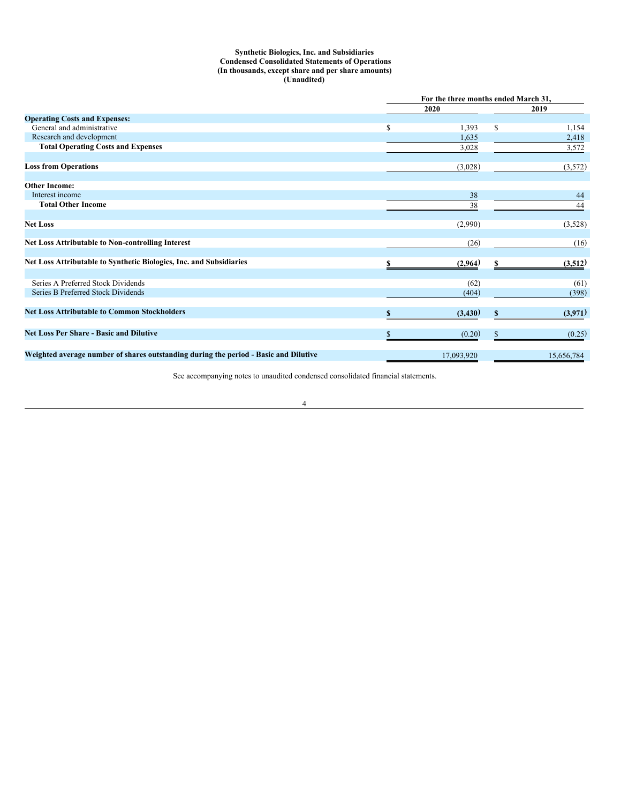## <span id="page-4-0"></span>**Synthetic Biologics, Inc. and Subsidiaries Condensed Consolidated Statements of Operations (In thousands, except share and per share amounts) (Unaudited)**

|                                                                                      | For the three months ended March 31, |            |    |            |
|--------------------------------------------------------------------------------------|--------------------------------------|------------|----|------------|
|                                                                                      | 2020                                 |            |    | 2019       |
| <b>Operating Costs and Expenses:</b>                                                 |                                      |            |    |            |
| General and administrative                                                           | \$                                   | 1,393      | \$ | 1,154      |
| Research and development                                                             |                                      | 1.635      |    | 2,418      |
| <b>Total Operating Costs and Expenses</b>                                            |                                      | 3,028      |    | 3,572      |
| <b>Loss from Operations</b>                                                          |                                      | (3,028)    |    | (3,572)    |
| <b>Other Income:</b>                                                                 |                                      |            |    |            |
| Interest income                                                                      |                                      | 38         |    | 44         |
| <b>Total Other Income</b>                                                            |                                      | 38         |    | 44         |
| <b>Net Loss</b>                                                                      |                                      | (2,990)    |    | (3,528)    |
| <b>Net Loss Attributable to Non-controlling Interest</b>                             |                                      | (26)       |    | (16)       |
| Net Loss Attributable to Synthetic Biologics, Inc. and Subsidiaries                  | S                                    | (2,964)    |    | (3,512)    |
| Series A Preferred Stock Dividends                                                   |                                      | (62)       |    | (61)       |
| Series B Preferred Stock Dividends                                                   |                                      | (404)      |    | (398)      |
| <b>Net Loss Attributable to Common Stockholders</b>                                  |                                      | (3,430)    |    | (3,971)    |
| <b>Net Loss Per Share - Basic and Dilutive</b>                                       | S                                    | (0.20)     |    | (0.25)     |
| Weighted average number of shares outstanding during the period - Basic and Dilutive |                                      | 17,093,920 |    | 15,656,784 |

See accompanying notes to unaudited condensed consolidated financial statements.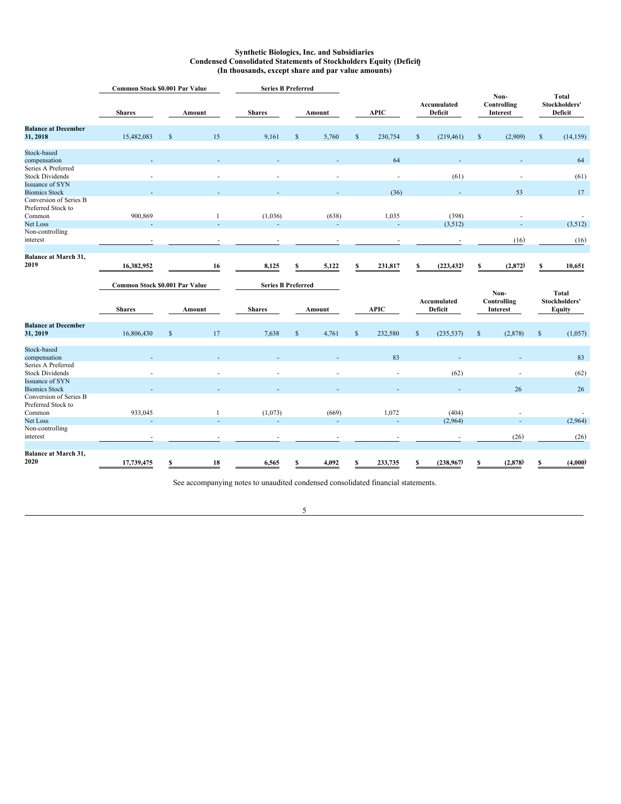### <span id="page-5-0"></span>**Synthetic Biologics, Inc. and Subsidiaries Condensed Consolidated Statements of Stockholders Equity (Deficit) (In thousands, except share and par value amounts)**

|                                              | Common Stock \$0.001 Par Value |                    |               | <b>Series B Preferred</b> |              |             |               | Non-                   |              |                                | <b>Total</b> |                                |
|----------------------------------------------|--------------------------------|--------------------|---------------|---------------------------|--------------|-------------|---------------|------------------------|--------------|--------------------------------|--------------|--------------------------------|
|                                              | <b>Shares</b>                  | Amount             | <b>Shares</b> | Amount                    |              | <b>APIC</b> |               | Accumulated<br>Deficit |              | Controlling<br><b>Interest</b> |              | Stockholders'<br>Deficit       |
| <b>Balance at December</b>                   |                                |                    |               |                           |              |             |               |                        |              |                                |              |                                |
| 31, 2018                                     | 15,482,083                     | 15<br>S.           | 9,161         | 5,760<br>\$               | \$           | 230,754     | $\mathbb{S}$  | (219, 461)             | S            | (2,909)                        | $\mathbb{S}$ | (14, 159)                      |
| Stock-based                                  |                                |                    |               |                           |              |             |               |                        |              |                                |              |                                |
| compensation                                 |                                |                    |               |                           |              | 64          |               |                        |              |                                |              | 64                             |
| Series A Preferred                           |                                |                    |               |                           |              |             |               |                        |              |                                |              |                                |
| <b>Stock Dividends</b>                       |                                |                    |               |                           |              | ×.          |               | (61)                   |              |                                |              | (61)                           |
| Issuance of SYN                              |                                |                    |               |                           |              |             |               |                        |              |                                |              |                                |
| <b>Biomics Stock</b>                         |                                |                    |               |                           |              | (36)        |               |                        |              | 53                             |              | 17                             |
| Conversion of Series B<br>Preferred Stock to |                                |                    |               |                           |              |             |               |                        |              |                                |              |                                |
| Common                                       | 900,869                        | 1                  | (1,036)       | (638)                     |              | 1,035       |               | (398)                  |              |                                |              |                                |
| Net Loss                                     | ÷.                             | ÷                  | ÷             | ÷                         |              | ÷.          |               | (3,512)                |              | ×.                             |              | (3,512)                        |
| Non-controlling                              |                                |                    |               |                           |              |             |               |                        |              |                                |              |                                |
| interest                                     |                                |                    |               |                           |              |             |               |                        |              | (16)                           |              | (16)                           |
|                                              |                                |                    |               |                           |              |             |               |                        |              |                                |              |                                |
| <b>Balance at March 31,</b>                  |                                |                    |               |                           |              |             |               |                        |              |                                |              |                                |
| 2019                                         | 16,382,952                     | 16                 | 8,125         | 5,122                     |              | 231,817     | S             | (223, 432)             |              | (2,872)                        |              | 10,651                         |
|                                              |                                |                    |               |                           |              |             |               |                        |              |                                |              |                                |
|                                              | Common Stock \$0.001 Par Value |                    |               | <b>Series B Preferred</b> |              |             |               |                        |              |                                |              |                                |
|                                              |                                |                    |               |                           |              |             |               |                        |              | Non-                           |              | <b>Total</b>                   |
|                                              | <b>Shares</b>                  | Amount             | <b>Shares</b> | Amount                    | <b>APIC</b>  |             |               | Accumulated<br>Deficit |              | Controlling<br>Interest        |              | Stockholders'<br><b>Equity</b> |
|                                              |                                |                    |               |                           |              |             |               |                        |              |                                |              |                                |
| <b>Balance at December</b>                   |                                |                    |               |                           |              |             |               |                        |              |                                |              |                                |
| 31, 2019                                     | 16,806,430                     | $\mathbb{S}$<br>17 | 7,638         | $\mathbb{S}$<br>4,761     | $\mathbb{S}$ | 232,580     | $\mathsf{\$}$ | (235, 537)             | $\mathbb{S}$ | (2,878)                        | $\mathbb{S}$ | (1,057)                        |
|                                              |                                |                    |               |                           |              |             |               |                        |              |                                |              |                                |
| Stock-based                                  |                                |                    |               |                           |              |             |               |                        |              |                                |              |                                |
| compensation                                 |                                |                    |               |                           |              | 83          |               |                        |              |                                |              | 83                             |
| Series A Preferred                           |                                |                    |               |                           |              |             |               |                        |              |                                |              |                                |
| <b>Stock Dividends</b>                       |                                |                    |               |                           |              | ÷,          |               | (62)                   |              |                                |              | (62)                           |
| <b>Issuance of SYN</b>                       |                                |                    |               |                           |              |             |               |                        |              |                                |              |                                |
| <b>Biomics Stock</b>                         |                                |                    |               |                           |              |             |               |                        |              | 26                             |              | 26                             |
| Conversion of Series B                       |                                |                    |               |                           |              |             |               |                        |              |                                |              |                                |
| Preferred Stock to                           |                                |                    |               |                           |              |             |               |                        |              |                                |              |                                |
| Common                                       | 933,045                        | $\mathbf{1}$       | (1,073)       | (669)                     |              | 1,072       |               | (404)                  |              | ٠                              |              |                                |
| Net Loss                                     |                                |                    | r.            | ÷.                        |              |             |               | (2,964)                |              |                                |              | (2,964)                        |
| Non-controlling                              |                                |                    |               |                           |              |             |               |                        |              |                                |              |                                |
| interest                                     |                                |                    |               |                           |              |             |               |                        |              | (26)                           |              | (26)                           |
|                                              |                                |                    |               |                           |              |             |               |                        |              |                                |              |                                |
| Balance at March 31,                         |                                |                    |               |                           |              |             |               |                        |              |                                |              |                                |
| 2020                                         | 17,739,475                     | 18<br>S            | 6,565         | 4,092                     | s            | 233,735     | S             | (238,967)              | S            | (2,878)                        | S            | (4,000)                        |

See accompanying notes to unaudited condensed consolidated financial statements.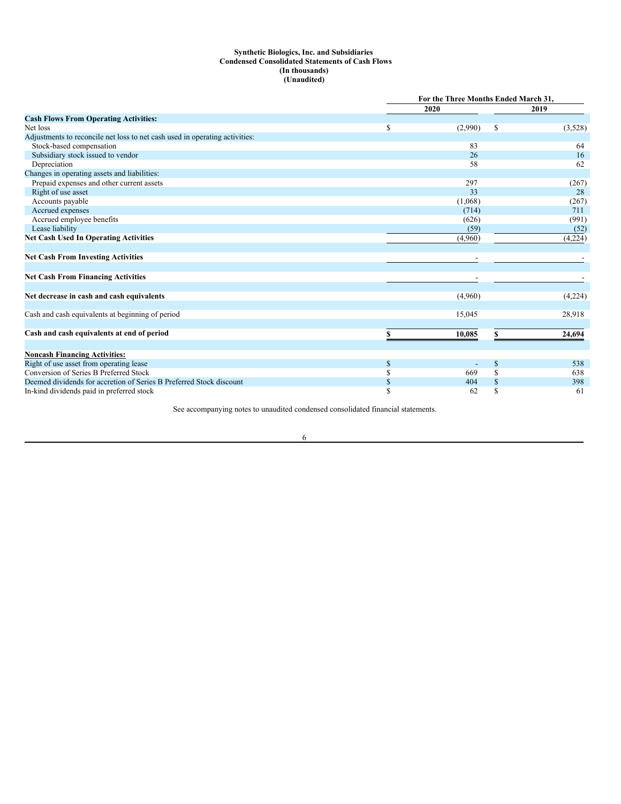### <span id="page-6-0"></span>**Synthetic Biologics, Inc. and Subsidiaries Condensed Consolidated Statements of Cash Flows (In thousands) (Unaudited)**

| 2020<br>2019<br>\$<br>(2,990)<br>(3,528)<br>S<br>Adjustments to reconcile net loss to net cash used in operating activities:<br>Stock-based compensation<br>83<br>64<br>Subsidiary stock issued to vendor<br>26<br>16<br>Depreciation<br>58<br>62<br>Changes in operating assets and liabilities:<br>Prepaid expenses and other current assets<br>297<br>(267)<br>33<br>Right of use asset<br>28<br>Accounts payable<br>(1,068)<br>(267)<br>Accrued expenses<br>711<br>(714)<br>Accrued employee benefits<br>(626)<br>(991)<br>Lease liability<br>(59)<br>(52)<br><b>Net Cash Used In Operating Activities</b><br>(4,224)<br>(4,960)<br><b>Net Cash From Investing Activities</b><br><b>Net Cash From Financing Activities</b><br>Net decrease in cash and cash equivalents<br>(4,960)<br>(4,224)<br>15,045<br>28,918<br>10,085<br>24,694<br><b>Noncash Financing Activities:</b><br>Right of use asset from operating lease<br>\$<br>S<br>538<br>Conversion of Series B Preferred Stock<br>S<br>638<br>669<br>S<br>Deemed dividends for accretion of Series B Preferred Stock discount<br>\$<br>404<br>\$<br>398<br>\$<br>In-kind dividends paid in preferred stock<br>62<br>S<br>61 |                                                  | For the Three Months Ended March 31, |  |  |  |  |
|---------------------------------------------------------------------------------------------------------------------------------------------------------------------------------------------------------------------------------------------------------------------------------------------------------------------------------------------------------------------------------------------------------------------------------------------------------------------------------------------------------------------------------------------------------------------------------------------------------------------------------------------------------------------------------------------------------------------------------------------------------------------------------------------------------------------------------------------------------------------------------------------------------------------------------------------------------------------------------------------------------------------------------------------------------------------------------------------------------------------------------------------------------------------------------------|--------------------------------------------------|--------------------------------------|--|--|--|--|
|                                                                                                                                                                                                                                                                                                                                                                                                                                                                                                                                                                                                                                                                                                                                                                                                                                                                                                                                                                                                                                                                                                                                                                                       |                                                  |                                      |  |  |  |  |
|                                                                                                                                                                                                                                                                                                                                                                                                                                                                                                                                                                                                                                                                                                                                                                                                                                                                                                                                                                                                                                                                                                                                                                                       | <b>Cash Flows From Operating Activities:</b>     |                                      |  |  |  |  |
|                                                                                                                                                                                                                                                                                                                                                                                                                                                                                                                                                                                                                                                                                                                                                                                                                                                                                                                                                                                                                                                                                                                                                                                       | Net loss                                         |                                      |  |  |  |  |
|                                                                                                                                                                                                                                                                                                                                                                                                                                                                                                                                                                                                                                                                                                                                                                                                                                                                                                                                                                                                                                                                                                                                                                                       |                                                  |                                      |  |  |  |  |
|                                                                                                                                                                                                                                                                                                                                                                                                                                                                                                                                                                                                                                                                                                                                                                                                                                                                                                                                                                                                                                                                                                                                                                                       |                                                  |                                      |  |  |  |  |
|                                                                                                                                                                                                                                                                                                                                                                                                                                                                                                                                                                                                                                                                                                                                                                                                                                                                                                                                                                                                                                                                                                                                                                                       |                                                  |                                      |  |  |  |  |
|                                                                                                                                                                                                                                                                                                                                                                                                                                                                                                                                                                                                                                                                                                                                                                                                                                                                                                                                                                                                                                                                                                                                                                                       |                                                  |                                      |  |  |  |  |
|                                                                                                                                                                                                                                                                                                                                                                                                                                                                                                                                                                                                                                                                                                                                                                                                                                                                                                                                                                                                                                                                                                                                                                                       |                                                  |                                      |  |  |  |  |
|                                                                                                                                                                                                                                                                                                                                                                                                                                                                                                                                                                                                                                                                                                                                                                                                                                                                                                                                                                                                                                                                                                                                                                                       |                                                  |                                      |  |  |  |  |
|                                                                                                                                                                                                                                                                                                                                                                                                                                                                                                                                                                                                                                                                                                                                                                                                                                                                                                                                                                                                                                                                                                                                                                                       |                                                  |                                      |  |  |  |  |
|                                                                                                                                                                                                                                                                                                                                                                                                                                                                                                                                                                                                                                                                                                                                                                                                                                                                                                                                                                                                                                                                                                                                                                                       |                                                  |                                      |  |  |  |  |
|                                                                                                                                                                                                                                                                                                                                                                                                                                                                                                                                                                                                                                                                                                                                                                                                                                                                                                                                                                                                                                                                                                                                                                                       |                                                  |                                      |  |  |  |  |
|                                                                                                                                                                                                                                                                                                                                                                                                                                                                                                                                                                                                                                                                                                                                                                                                                                                                                                                                                                                                                                                                                                                                                                                       |                                                  |                                      |  |  |  |  |
|                                                                                                                                                                                                                                                                                                                                                                                                                                                                                                                                                                                                                                                                                                                                                                                                                                                                                                                                                                                                                                                                                                                                                                                       |                                                  |                                      |  |  |  |  |
|                                                                                                                                                                                                                                                                                                                                                                                                                                                                                                                                                                                                                                                                                                                                                                                                                                                                                                                                                                                                                                                                                                                                                                                       |                                                  |                                      |  |  |  |  |
|                                                                                                                                                                                                                                                                                                                                                                                                                                                                                                                                                                                                                                                                                                                                                                                                                                                                                                                                                                                                                                                                                                                                                                                       |                                                  |                                      |  |  |  |  |
|                                                                                                                                                                                                                                                                                                                                                                                                                                                                                                                                                                                                                                                                                                                                                                                                                                                                                                                                                                                                                                                                                                                                                                                       |                                                  |                                      |  |  |  |  |
|                                                                                                                                                                                                                                                                                                                                                                                                                                                                                                                                                                                                                                                                                                                                                                                                                                                                                                                                                                                                                                                                                                                                                                                       |                                                  |                                      |  |  |  |  |
|                                                                                                                                                                                                                                                                                                                                                                                                                                                                                                                                                                                                                                                                                                                                                                                                                                                                                                                                                                                                                                                                                                                                                                                       | Cash and cash equivalents at beginning of period |                                      |  |  |  |  |
|                                                                                                                                                                                                                                                                                                                                                                                                                                                                                                                                                                                                                                                                                                                                                                                                                                                                                                                                                                                                                                                                                                                                                                                       | Cash and cash equivalents at end of period       |                                      |  |  |  |  |
|                                                                                                                                                                                                                                                                                                                                                                                                                                                                                                                                                                                                                                                                                                                                                                                                                                                                                                                                                                                                                                                                                                                                                                                       |                                                  |                                      |  |  |  |  |
|                                                                                                                                                                                                                                                                                                                                                                                                                                                                                                                                                                                                                                                                                                                                                                                                                                                                                                                                                                                                                                                                                                                                                                                       |                                                  |                                      |  |  |  |  |
|                                                                                                                                                                                                                                                                                                                                                                                                                                                                                                                                                                                                                                                                                                                                                                                                                                                                                                                                                                                                                                                                                                                                                                                       |                                                  |                                      |  |  |  |  |
|                                                                                                                                                                                                                                                                                                                                                                                                                                                                                                                                                                                                                                                                                                                                                                                                                                                                                                                                                                                                                                                                                                                                                                                       |                                                  |                                      |  |  |  |  |
|                                                                                                                                                                                                                                                                                                                                                                                                                                                                                                                                                                                                                                                                                                                                                                                                                                                                                                                                                                                                                                                                                                                                                                                       |                                                  |                                      |  |  |  |  |

See accompanying notes to unaudited condensed consolidated financial statements.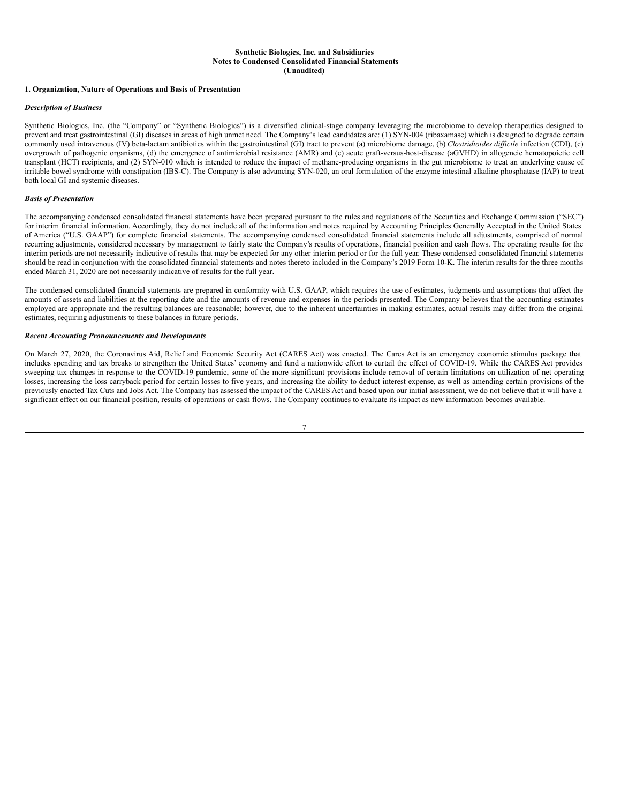### <span id="page-7-0"></span>**Synthetic Biologics, Inc. and Subsidiaries Notes to Condensed Consolidated Financial Statements (Unaudited)**

# **1. Organization, Nature of Operations and Basis of Presentation**

### *Description of Business*

Synthetic Biologics, Inc. (the "Company" or "Synthetic Biologics") is a diversified clinical-stage company leveraging the microbiome to develop therapeutics designed to prevent and treat gastrointestinal (GI) diseases in areas of high unmet need. The Company's lead candidates are: (1) SYN-004 (ribaxamase) which is designed to degrade certain commonly used intravenous (IV) beta-lactam antibiotics within the gastrointestinal (GI) tract to prevent (a) microbiome damage, (b) *Clostridioides dif icile* infection (CDI), (c) overgrowth of pathogenic organisms, (d) the emergence of antimicrobial resistance (AMR) and (e) acute graft-versus-host-disease (aGVHD) in allogeneic hematopoietic cell transplant (HCT) recipients, and (2) SYN-010 which is intended to reduce the impact of methane-producing organisms in the gut microbiome to treat an underlying cause of irritable bowel syndrome with constipation (IBS-C). The Company is also advancing SYN-020, an oral formulation of the enzyme intestinal alkaline phosphatase (IAP) to treat both local GI and systemic diseases.

### *Basis of Presentation*

The accompanying condensed consolidated financial statements have been prepared pursuant to the rules and regulations of the Securities and Exchange Commission ("SEC") for interim financial information. Accordingly, they do not include all of the information and notes required by Accounting Principles Generally Accepted in the United States of America ("U.S. GAAP") for complete financial statements. The accompanying condensed consolidated financial statements include all adjustments, comprised of normal recurring adjustments, considered necessary by management to fairly state the Company's results of operations, financial position and cash flows. The operating results for the interim periods are not necessarily indicative of results that may be expected for any other interim period or for the full year. These condensed consolidated financial statements should be read in conjunction with the consolidated financial statements and notes thereto included in the Company's 2019 Form 10-K. The interim results for the three months ended March 31, 2020 are not necessarily indicative of results for the full year.

The condensed consolidated financial statements are prepared in conformity with U.S. GAAP, which requires the use of estimates, judgments and assumptions that affect the amounts of assets and liabilities at the reporting date and the amounts of revenue and expenses in the periods presented. The Company believes that the accounting estimates employed are appropriate and the resulting balances are reasonable; however, due to the inherent uncertainties in making estimates, actual results may differ from the original estimates, requiring adjustments to these balances in future periods.

# *Recent Accounting Pronouncements and Developments*

On March 27, 2020, the Coronavirus Aid, Relief and Economic Security Act (CARES Act) was enacted. The Cares Act is an emergency economic stimulus package that includes spending and tax breaks to strengthen the United States' economy and fund a nationwide effort to curtail the effect of COVID-19. While the CARES Act provides sweeping tax changes in response to the COVID-19 pandemic, some of the more significant provisions include removal of certain limitations on utilization of net operating losses, increasing the loss carryback period for certain losses to five years, and increasing the ability to deduct interest expense, as well as amending certain provisions of the previously enacted Tax Cuts and Jobs Act. The Company has assessed the impact of the CARES Act and based upon our initial assessment, we do not believe that it will have a significant effect on our financial position, results of operations or cash flows. The Company continues to evaluate its impact as new information becomes available.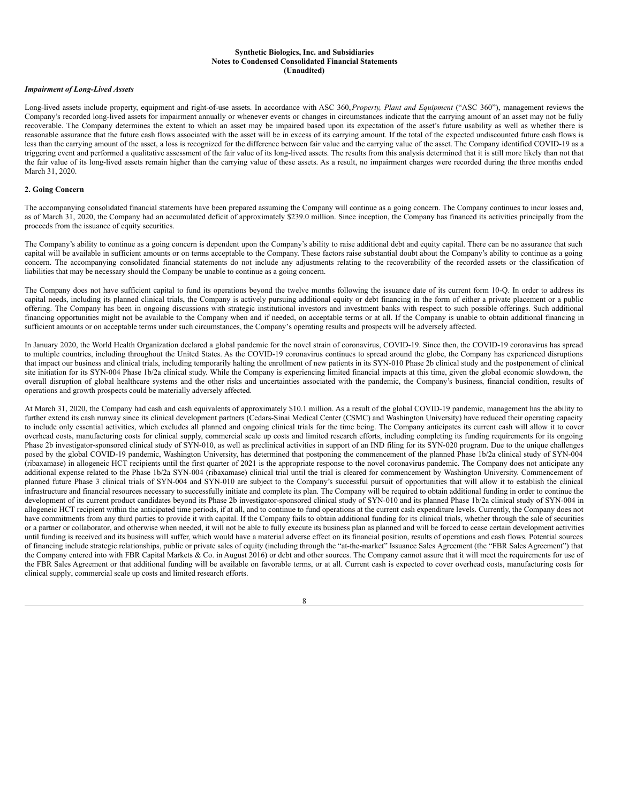# **Synthetic Biologics, Inc. and Subsidiaries Notes to Condensed Consolidated Financial Statements (Unaudited)**

# *Impairment of Long-Lived Assets*

Long-lived assets include property, equipment and right-of-use assets. In accordance with ASC 360,*Property, Plant and Equipment* ("ASC 360"), management reviews the Company's recorded long-lived assets for impairment annually or whenever events or changes in circumstances indicate that the carrying amount of an asset may not be fully recoverable. The Company determines the extent to which an asset may be impaired based upon its expectation of the asset's future usability as well as whether there is reasonable assurance that the future cash flows associated with the asset will be in excess of its carrying amount. If the total of the expected undiscounted future cash flows is less than the carrying amount of the asset, a loss is recognized for the difference between fair value and the carrying value of the asset. The Company identified COVID-19 as a triggering event and performed a qualitative assessment of the fair value of its long-lived assets. The results from this analysis determined that it is still more likely than not that the fair value of its long-lived assets remain higher than the carrying value of these assets. As a result, no impairment charges were recorded during the three months ended March 31, 2020.

# **2. Going Concern**

The accompanying consolidated financial statements have been prepared assuming the Company will continue as a going concern. The Company continues to incur losses and, as of March 31, 2020, the Company had an accumulated deficit of approximately \$239.0 million. Since inception, the Company has financed its activities principally from the proceeds from the issuance of equity securities.

The Company's ability to continue as a going concern is dependent upon the Company's ability to raise additional debt and equity capital. There can be no assurance that such capital will be available in sufficient amounts or on terms acceptable to the Company. These factors raise substantial doubt about the Company's ability to continue as a going concern. The accompanying consolidated financial statements do not include any adjustments relating to the recoverability of the recorded assets or the classification of liabilities that may be necessary should the Company be unable to continue as a going concern.

The Company does not have sufficient capital to fund its operations beyond the twelve months following the issuance date of its current form 10-O. In order to address its capital needs, including its planned clinical trials, the Company is actively pursuing additional equity or debt financing in the form of either a private placement or a public offering. The Company has been in ongoing discussions with strategic institutional investors and investment banks with respect to such possible offerings. Such additional financing opportunities might not be available to the Company when and if needed, on acceptable terms or at all. If the Company is unable to obtain additional financing in sufficient amounts or on acceptable terms under such circumstances, the Company's operating results and prospects will be adversely affected.

In January 2020, the World Health Organization declared a global pandemic for the novel strain of coronavirus, COVID-19. Since then, the COVID-19 coronavirus has spread to multiple countries, including throughout the United States. As the COVID-19 coronavirus continues to spread around the globe, the Company has experienced disruptions that impact our business and clinical trials, including temporarily halting the enrollment of new patients in its SYN-010 Phase 2b clinical study and the postponement of clinical site initiation for its SYN-004 Phase 1b/2a clinical study. While the Company is experiencing limited financial impacts at this time, given the global economic slowdown, the overall disruption of global healthcare systems and the other risks and uncertainties associated with the pandemic, the Company's business, financial condition, results of operations and growth prospects could be materially adversely affected.

At March 31, 2020, the Company had cash and cash equivalents of approximately \$10.1 million. As a result of the global COVID-19 pandemic, management has the ability to further extend its cash runway since its clinical development partners (Cedars-Sinai Medical Center (CSMC) and Washington University) have reduced their operating capacity to include only essential activities, which excludes all planned and ongoing clinical trials for the time being. The Company anticipates its current cash will allow it to cover overhead costs, manufacturing costs for clinical supply, commercial scale up costs and limited research efforts, including completing its funding requirements for its ongoing Phase 2b investigator-sponsored clinical study of SYN-010, as well as preclinical activities in support of an IND filing for its SYN-020 program. Due to the unique challenges posed by the global COVID-19 pandemic, Washington University, has determined that postponing the commencement of the planned Phase 1b/2a clinical study of SYN-004 (ribaxamase) in allogeneic HCT recipients until the first quarter of 2021 is the appropriate response to the novel coronavirus pandemic. The Company does not anticipate any additional expense related to the Phase 1b/2a SYN-004 (ribaxamase) clinical trial until the trial is cleared for commencement by Washington University. Commencement of planned future Phase 3 clinical trials of SYN-004 and SYN-010 are subject to the Company's successful pursuit of opportunities that will allow it to establish the clinical infrastructure and financial resources necessary to successfully initiate and complete its plan. The Company will be required to obtain additional funding in order to continue the development of its current product candidates beyond its Phase 2b investigator-sponsored clinical study of SYN-010 and its planned Phase 1b/2a clinical study of SYN-004 in allogeneic HCT recipient within the anticipated time periods, if at all, and to continue to fund operations at the current cash expenditure levels. Currently, the Company does not have commitments from any third parties to provide it with capital. If the Company fails to obtain additional funding for its clinical trials, whether through the sale of securities or a partner or collaborator, and otherwise when needed, it will not be able to fully execute its business plan as planned and will be forced to cease certain development activities until funding is received and its business will suffer, which would have a material adverse effect on its financial position, results of operations and cash flows. Potential sources of financing include strategic relationships, public or private sales of equity (including through the "at-the-market" Issuance Sales Agreement (the "FBR Sales Agreement") that the Company entered into with FBR Capital Markets & Co. in August 2016) or debt and other sources. The Company cannot assure that it will meet the requirements for use of the FBR Sales Agreement or that additional funding will be available on favorable terms, or at all. Current cash is expected to cover overhead costs, manufacturing costs for clinical supply, commercial scale up costs and limited research efforts.

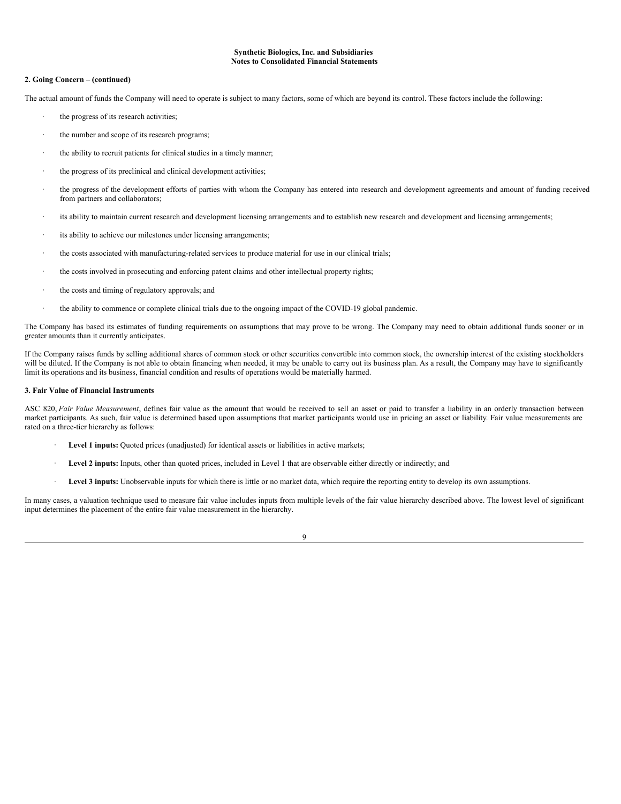## **2. Going Concern – (continued)**

The actual amount of funds the Company will need to operate is subject to many factors, some of which are beyond its control. These factors include the following:

- the progress of its research activities;
- the number and scope of its research programs;
- the ability to recruit patients for clinical studies in a timely manner;
- the progress of its preclinical and clinical development activities;
- the progress of the development efforts of parties with whom the Company has entered into research and development agreements and amount of funding received from partners and collaborators;
- its ability to maintain current research and development licensing arrangements and to establish new research and development and licensing arrangements;
- its ability to achieve our milestones under licensing arrangements;
- · the costs associated with manufacturing-related services to produce material for use in our clinical trials;
- · the costs involved in prosecuting and enforcing patent claims and other intellectual property rights;
- the costs and timing of regulatory approvals; and
- the ability to commence or complete clinical trials due to the ongoing impact of the COVID-19 global pandemic.

The Company has based its estimates of funding requirements on assumptions that may prove to be wrong. The Company may need to obtain additional funds sooner or in greater amounts than it currently anticipates.

If the Company raises funds by selling additional shares of common stock or other securities convertible into common stock, the ownership interest of the existing stockholders will be diluted. If the Company is not able to obtain financing when needed, it may be unable to carry out its business plan. As a result, the Company may have to significantly limit its operations and its business, financial condition and results of operations would be materially harmed.

### **3. Fair Value of Financial Instruments**

ASC 820, *Fair Value Measurement*, defines fair value as the amount that would be received to sell an asset or paid to transfer a liability in an orderly transaction between market participants. As such, fair value is determined based upon assumptions that market participants would use in pricing an asset or liability. Fair value measurements are rated on a three-tier hierarchy as follows:

- Level 1 **inputs:** Quoted prices (unadjusted) for identical assets or liabilities in active markets;
- · **Level 2 inputs:** Inputs, other than quoted prices, included in Level 1 that are observable either directly or indirectly; and
- Level 3 inputs: Unobservable inputs for which there is little or no market data, which require the reporting entity to develop its own assumptions.

In many cases, a valuation technique used to measure fair value includes inputs from multiple levels of the fair value hierarchy described above. The lowest level of significant input determines the placement of the entire fair value measurement in the hierarchy.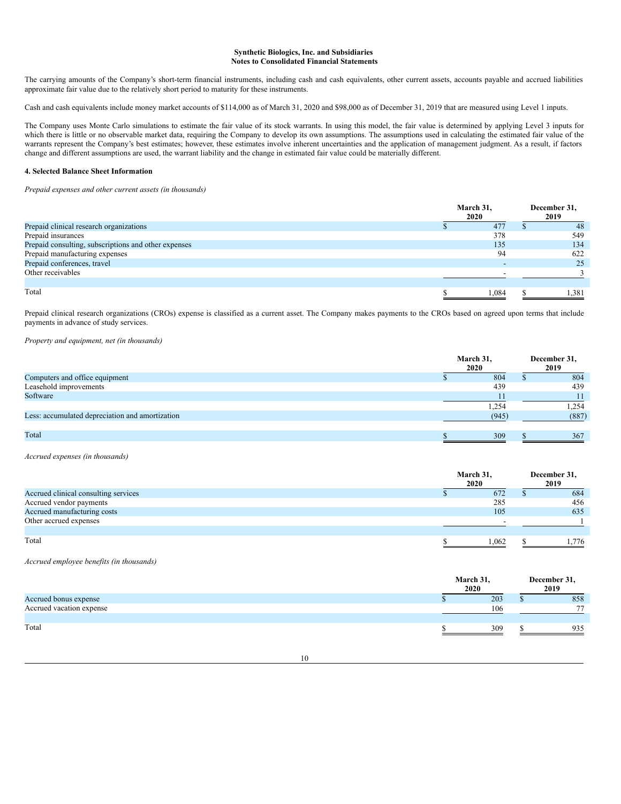The carrying amounts of the Company's short-term financial instruments, including cash and cash equivalents, other current assets, accounts payable and accrued liabilities approximate fair value due to the relatively short period to maturity for these instruments.

Cash and cash equivalents include money market accounts of \$114,000 as of March 31, 2020 and \$98,000 as of December 31, 2019 that are measured using Level 1 inputs.

The Company uses Monte Carlo simulations to estimate the fair value of its stock warrants. In using this model, the fair value is determined by applying Level 3 inputs for which there is little or no observable market data, requiring the Company to develop its own assumptions. The assumptions used in calculating the estimated fair value of the warrants represent the Company's best estimates; however, these estimates involve inherent uncertainties and the application of management judgment. As a result, if factors change and different assumptions are used, the warrant liability and the change in estimated fair value could be materially different.

# **4. Selected Balance Sheet Information**

*Prepaid expenses and other current assets (in thousands)*

|                                                      | March 31,<br>2020 | December 31,<br>2019 |
|------------------------------------------------------|-------------------|----------------------|
| Prepaid clinical research organizations              | 477               | 48                   |
| Prepaid insurances                                   | 378               | 549                  |
| Prepaid consulting, subscriptions and other expenses | 135               | 134                  |
| Prepaid manufacturing expenses                       | 94                | 622                  |
| Prepaid conferences, travel                          |                   | 25                   |
| Other receivables                                    |                   |                      |
|                                                      |                   |                      |
| Total                                                | 0.084             | 1.381                |

Prepaid clinical research organizations (CROs) expense is classified as a current asset. The Company makes payments to the CROs based on agreed upon terms that include payments in advance of study services.

*Property and equipment, net (in thousands)*

|                                                 | March 31,<br>2020 | December 31,<br>2019 |
|-------------------------------------------------|-------------------|----------------------|
| Computers and office equipment                  | 804               | 804                  |
| Leasehold improvements                          | 439               | 439                  |
| Software                                        |                   |                      |
|                                                 | 1,254             | 1,254                |
| Less: accumulated depreciation and amortization | (945)             | (887)                |
|                                                 |                   |                      |
| Total                                           | 309               | 367                  |

## *Accrued expenses (in thousands)*

|                                      | March 31,<br>2020 | December 31,<br>2019 |
|--------------------------------------|-------------------|----------------------|
| Accrued clinical consulting services | 672               | 684                  |
| Accrued vendor payments              | 285               | 456                  |
| Accrued manufacturing costs          | 105               | 635                  |
| Other accrued expenses               |                   |                      |
|                                      |                   |                      |
| Total                                | 1.062             | . 776                |

*Accrued employee benefits (in thousands)*

|                          | March 31,<br>2020 | December 31,<br>2019 |
|--------------------------|-------------------|----------------------|
| Accrued bonus expense    | 203               | 858                  |
| Accrued vacation expense | 106               | 77                   |
| Total                    | 309               | 935                  |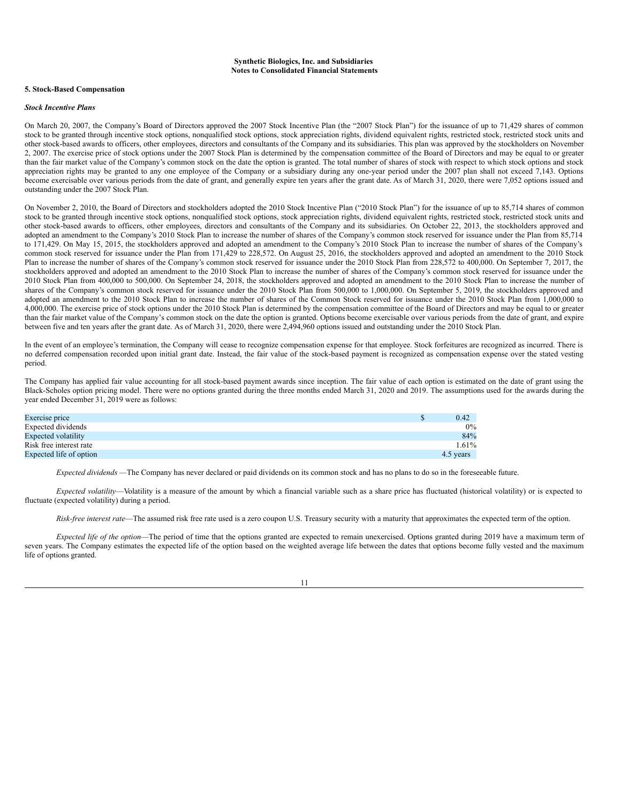# **5. Stock-Based Compensation**

#### *Stock Incentive Plans*

On March 20, 2007, the Company's Board of Directors approved the 2007 Stock Incentive Plan (the "2007 Stock Plan") for the issuance of up to 71,429 shares of common stock to be granted through incentive stock options, nonqualified stock options, stock appreciation rights, dividend equivalent rights, restricted stock, restricted stock units and other stock-based awards to officers, other employees, directors and consultants of the Company and its subsidiaries. This plan was approved by the stockholders on November 2, 2007. The exercise price of stock options under the 2007 Stock Plan is determined by the compensation committee of the Board of Directors and may be equal to or greater than the fair market value of the Company's common stock on the date the option is granted. The total number of shares of stock with respect to which stock options and stock appreciation rights may be granted to any one employee of the Company or a subsidiary during any one-year period under the 2007 plan shall not exceed 7,143. Options become exercisable over various periods from the date of grant, and generally expire ten years after the grant date. As of March 31, 2020, there were 7,052 options issued and outstanding under the 2007 Stock Plan.

On November 2, 2010, the Board of Directors and stockholders adopted the 2010 Stock Incentive Plan ("2010 Stock Plan") for the issuance of up to 85,714 shares of common stock to be granted through incentive stock options, nonqualified stock options, stock appreciation rights, dividend equivalent rights, restricted stock, restricted stock units and other stock-based awards to officers, other employees, directors and consultants of the Company and its subsidiaries. On October 22, 2013, the stockholders approved and adopted an amendment to the Company's 2010 Stock Plan to increase the number of shares of the Company's common stock reserved for issuance under the Plan from 85,714 to 171,429. On May 15, 2015, the stockholders approved and adopted an amendment to the Company's 2010 Stock Plan to increase the number of shares of the Company's common stock reserved for issuance under the Plan from 171,429 to 228,572. On August 25, 2016, the stockholders approved and adopted an amendment to the 2010 Stock Plan to increase the number of shares of the Company's common stock reserved for issuance under the 2010 Stock Plan from 228,572 to 400,000. On September 7, 2017, the stockholders approved and adopted an amendment to the 2010 Stock Plan to increase the number of shares of the Company's common stock reserved for issuance under the 2010 Stock Plan from 400,000 to 500,000. On September 24, 2018, the stockholders approved and adopted an amendment to the 2010 Stock Plan to increase the number of shares of the Company's common stock reserved for issuance under the 2010 Stock Plan from 500,000 to 1,000,000. On September 5, 2019, the stockholders approved and adopted an amendment to the 2010 Stock Plan to increase the number of shares of the Common Stock reserved for issuance under the 2010 Stock Plan from 1,000,000 to 4,000,000. The exercise price of stock options under the 2010 Stock Plan is determined by the compensation committee of the Board of Directors and may be equal to or greater than the fair market value of the Company's common stock on the date the option is granted. Options become exercisable over various periods from the date of grant, and expire between five and ten years after the grant date. As of March 31, 2020, there were 2,494,960 options issued and outstanding under the 2010 Stock Plan.

In the event of an employee's termination, the Company will cease to recognize compensation expense for that employee. Stock forfeitures are recognized as incurred. There is no deferred compensation recorded upon initial grant date. Instead, the fair value of the stock-based payment is recognized as compensation expense over the stated vesting period.

The Company has applied fair value accounting for all stock-based payment awards since inception. The fair value of each option is estimated on the date of grant using the Black-Scholes option pricing model. There were no options granted during the three months ended March 31, 2020 and 2019. The assumptions used for the awards during the year ended December 31, 2019 were as follows:

| Exercise price          | 0.42      |
|-------------------------|-----------|
| Expected dividends      | $0\%$     |
| Expected volatility     | 84%       |
| Risk free interest rate | $1.61\%$  |
| Expected life of option | 4.5 years |

*Expected dividends —*The Company has never declared or paid dividends on its common stock and has no plans to do so in the foreseeable future.

*Expected volatility*—Volatility is a measure of the amount by which a financial variable such as a share price has fluctuated (historical volatility) or is expected to fluctuate (expected volatility) during a period.

*Risk-free interest rate*—The assumed risk free rate used is a zero coupon U.S. Treasury security with a maturity that approximates the expected term of the option.

*Expected life of the option*—The period of time that the options granted are expected to remain unexercised. Options granted during 2019 have a maximum term of seven years. The Company estimates the expected life of the option based on the weighted average life between the dates that options become fully vested and the maximum life of options granted.

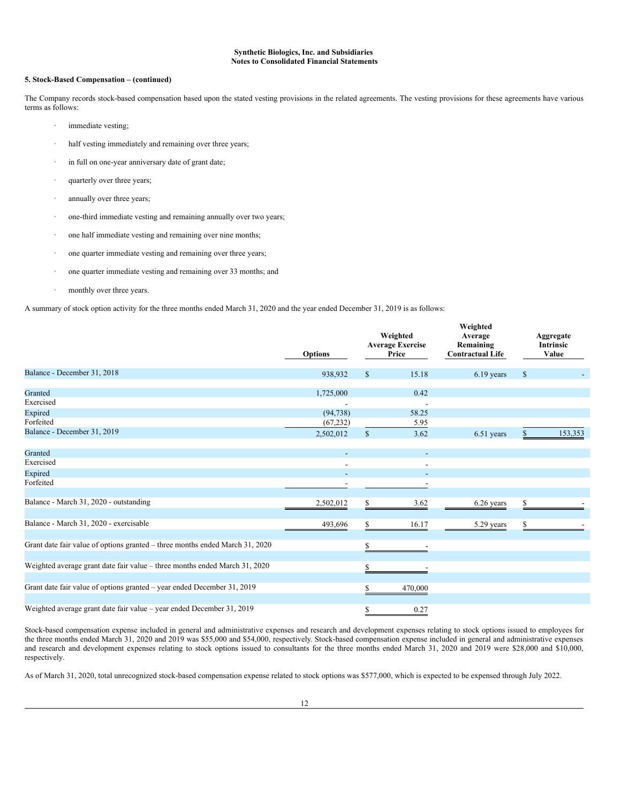# **5. Stock-Based Compensation – (continued)**

The Company records stock-based compensation based upon the stated vesting provisions in the related agreements. The vesting provisions for these agreements have various terms as follows:

- immediate vesting;
- · half vesting immediately and remaining over three years;
- in full on one-year anniversary date of grant date;
- quarterly over three years;
- · annually over three years;
- · one-third immediate vesting and remaining annually over two years;
- · one half immediate vesting and remaining over nine months;
- · one quarter immediate vesting and remaining over three years;
- · one quarter immediate vesting and remaining over 33 months; and
- · monthly over three years.

A summary of stock option activity for the three months ended March 31, 2020 and the year ended December 31, 2019 is as follows:

|                                                                              | <b>Options</b>           |              | Weighted<br><b>Average Exercise</b><br>Price | Weighted<br>Average<br>Remaining<br><b>Contractual Life</b> |              | Aggregate<br><b>Intrinsic</b><br>Value |
|------------------------------------------------------------------------------|--------------------------|--------------|----------------------------------------------|-------------------------------------------------------------|--------------|----------------------------------------|
| Balance - December 31, 2018                                                  | 938,932                  | $\mathbb{S}$ | 15.18                                        | 6.19 years                                                  | $\mathbb{S}$ |                                        |
|                                                                              |                          |              |                                              |                                                             |              |                                        |
| Granted                                                                      | 1,725,000                |              | 0.42                                         |                                                             |              |                                        |
| Exercised                                                                    |                          |              | ٠                                            |                                                             |              |                                        |
| Expired                                                                      | (94, 738)                |              | 58.25                                        |                                                             |              |                                        |
| Forfeited                                                                    | (67, 232)                |              | 5.95                                         |                                                             |              |                                        |
| Balance - December 31, 2019                                                  | 2,502,012                | $\mathbb{S}$ | 3.62                                         | 6.51 years                                                  | \$           | 153,353                                |
| Granted                                                                      |                          |              |                                              |                                                             |              |                                        |
| Exercised                                                                    | $\overline{\phantom{a}}$ |              | $\blacksquare$                               |                                                             |              |                                        |
| Expired                                                                      |                          |              |                                              |                                                             |              |                                        |
| Forfeited                                                                    |                          |              |                                              |                                                             |              |                                        |
| Balance - March 31, 2020 - outstanding                                       | 2,502,012                | \$           | 3.62                                         | 6.26 years                                                  | \$           |                                        |
| Balance - March 31, 2020 - exercisable                                       | 493,696                  | \$           | 16.17                                        | 5.29 years                                                  | \$           |                                        |
| Grant date fair value of options granted - three months ended March 31, 2020 |                          |              |                                              |                                                             |              |                                        |
|                                                                              |                          |              |                                              |                                                             |              |                                        |
| Weighted average grant date fair value - three months ended March 31, 2020   |                          | S            |                                              |                                                             |              |                                        |
| Grant date fair value of options granted – year ended December 31, 2019      |                          | S            | 470,000                                      |                                                             |              |                                        |
| Weighted average grant date fair value - year ended December 31, 2019        |                          | \$           | 0.27                                         |                                                             |              |                                        |

Stock-based compensation expense included in general and administrative expenses and research and development expenses relating to stock options issued to employees for the three months ended March 31, 2020 and 2019 was \$55,000 and \$54,000, respectively. Stock-based compensation expense included in general and administrative expenses and research and development expenses relating to stock options issued to consultants for the three months ended March 31, 2020 and 2019 were \$28,000 and \$10,000, respectively.

As of March 31, 2020, total unrecognized stock-based compensation expense related to stock options was \$577,000, which is expected to be expensed through July 2022.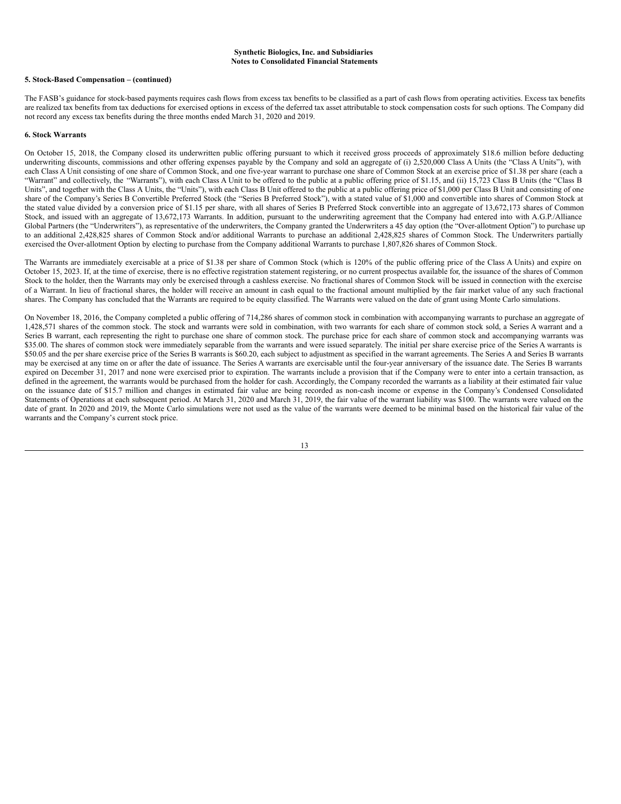### **5. Stock-Based Compensation – (continued)**

The FASB's guidance for stock-based payments requires cash flows from excess tax benefits to be classified as a part of cash flows from operating activities. Excess tax benefits are realized tax benefits from tax deductions for exercised options in excess of the deferred tax asset attributable to stock compensation costs for such options. The Company did not record any excess tax benefits during the three months ended March 31, 2020 and 2019.

# **6. Stock Warrants**

On October 15, 2018, the Company closed its underwritten public offering pursuant to which it received gross proceeds of approximately \$18.6 million before deducting underwriting discounts, commissions and other offering expenses payable by the Company and sold an aggregate of (i) 2,520,000 Class A Units (the "Class A Units"), with each Class A Unit consisting of one share of Common Stock, and one five-year warrant to purchase one share of Common Stock at an exercise price of \$1.38 per share (each a "Warrant" and collectively, the "Warrants"), with each Class A Unit to be offered to the public at a public offering price of \$1.15, and (ii) 15,723 Class B Units (the "Class B Units", and together with the Class A Units, the "Units"), with each Class B Unit offered to the public at a public offering price of \$1,000 per Class B Unit and consisting of one share of the Company's Series B Convertible Preferred Stock (the "Series B Preferred Stock"), with a stated value of \$1,000 and convertible into shares of Common Stock at the stated value divided by a conversion price of \$1.15 per share, with all shares of Series B Preferred Stock convertible into an aggregate of 13,672,173 shares of Common Stock, and issued with an aggregate of 13,672,173 Warrants. In addition, pursuant to the underwriting agreement that the Company had entered into with A.G.P./Alliance Global Partners (the "Underwriters"), as representative of the underwriters, the Company granted the Underwriters a 45 day option (the "Over-allotment Option") to purchase up to an additional 2,428,825 shares of Common Stock and/or additional Warrants to purchase an additional 2,428,825 shares of Common Stock. The Underwriters partially exercised the Over-allotment Option by electing to purchase from the Company additional Warrants to purchase 1,807,826 shares of Common Stock.

The Warrants are immediately exercisable at a price of \$1.38 per share of Common Stock (which is 120% of the public offering price of the Class A Units) and expire on October 15, 2023. If, at the time of exercise, there is no effective registration statement registering, or no current prospectus available for, the issuance of the shares of Common Stock to the holder, then the Warrants may only be exercised through a cashless exercise. No fractional shares of Common Stock will be issued in connection with the exercise of a Warrant. In lieu of fractional shares, the holder will receive an amount in cash equal to the fractional amount multiplied by the fair market value of any such fractional shares. The Company has concluded that the Warrants are required to be equity classified. The Warrants were valued on the date of grant using Monte Carlo simulations.

On November 18, 2016, the Company completed a public offering of 714,286 shares of common stock in combination with accompanying warrants to purchase an aggregate of 1,428,571 shares of the common stock. The stock and warrants were sold in combination, with two warrants for each share of common stock sold, a Series A warrant and a Series B warrant, each representing the right to purchase one share of common stock. The purchase price for each share of common stock and accompanying warrants was \$35.00. The shares of common stock were immediately separable from the warrants and were issued separately. The initial per share exercise price of the Series A warrants is \$50.05 and the per share exercise price of the Series B warrants is \$60.20, each subject to adjustment as specified in the warrant agreements. The Series A and Series B warrants may be exercised at any time on or after the date of issuance. The Series A warrants are exercisable until the four-year anniversary of the issuance date. The Series B warrants expired on December 31, 2017 and none were exercised prior to expiration. The warrants include a provision that if the Company were to enter into a certain transaction, as defined in the agreement, the warrants would be purchased from the holder for cash. Accordingly, the Company recorded the warrants as a liability at their estimated fair value on the issuance date of \$15.7 million and changes in estimated fair value are being recorded as non-cash income or expense in the Company's Condensed Consolidated Statements of Operations at each subsequent period. At March 31, 2020 and March 31, 2019, the fair value of the warrant liability was \$100. The warrants were valued on the date of grant. In 2020 and 2019, the Monte Carlo simulations were not used as the value of the warrants were deemed to be minimal based on the historical fair value of the warrants and the Company's current stock price.

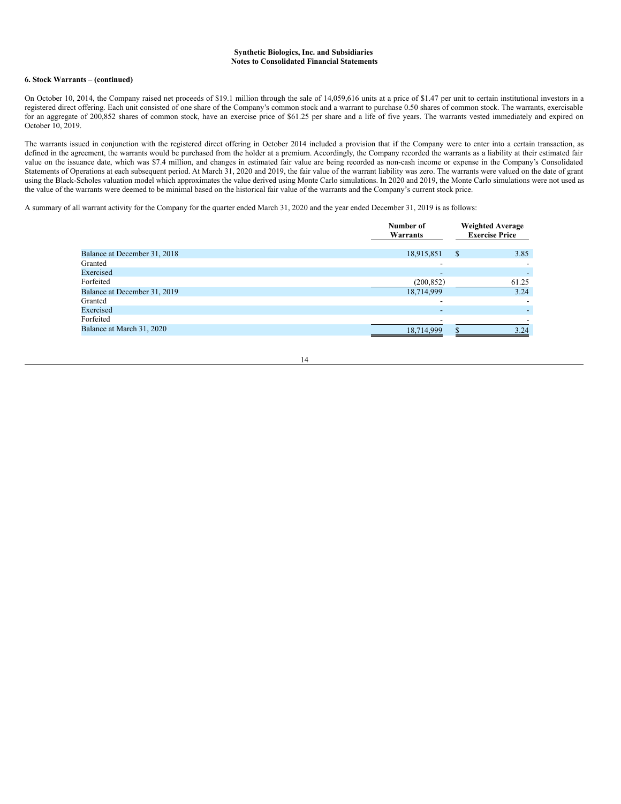#### **6. Stock Warrants – (continued)**

On October 10, 2014, the Company raised net proceeds of \$19.1 million through the sale of 14,059,616 units at a price of \$1.47 per unit to certain institutional investors in a registered direct offering. Each unit consisted of one share of the Company's common stock and a warrant to purchase 0.50 shares of common stock. The warrants, exercisable for an aggregate of 200,852 shares of common stock, have an exercise price of \$61.25 per share and a life of five years. The warrants vested immediately and expired on October 10, 2019.

The warrants issued in conjunction with the registered direct offering in October 2014 included a provision that if the Company were to enter into a certain transaction, as defined in the agreement, the warrants would be purchased from the holder at a premium. Accordingly, the Company recorded the warrants as a liability at their estimated fair value on the issuance date, which was \$7.4 million, and changes in estimated fair value are being recorded as non-cash income or expense in the Company's Consolidated value on the issuance date, which was \$7.4 million, and Statements of Operations at each subsequent period. At March 31, 2020 and 2019, the fair value of the warrant liability was zero. The warrants were valued on the date of grant using the Black-Scholes valuation model which approximates the value derived using Monte Carlo simulations. In 2020 and 2019, the Monte Carlo simulations were not used as the value of the warrants were deemed to be minimal based on the historical fair value of the warrants and the Company's current stock price.

A summary of all warrant activity for the Company for the quarter ended March 31, 2020 and the year ended December 31, 2019 is as follows:

|                              | Number of<br>Warrants | <b>Weighted Average</b><br><b>Exercise Price</b> |
|------------------------------|-----------------------|--------------------------------------------------|
| Balance at December 31, 2018 | 18,915,851            | \$<br>3.85                                       |
| Granted                      | ۰                     |                                                  |
| Exercised                    | -                     |                                                  |
| Forfeited                    | (200, 852)            | 61.25                                            |
| Balance at December 31, 2019 | 18,714,999            | 3.24                                             |
| Granted                      | ۰                     |                                                  |
| Exercised                    |                       |                                                  |
| Forfeited                    |                       |                                                  |
| Balance at March 31, 2020    | 18.714.999            | 3.24                                             |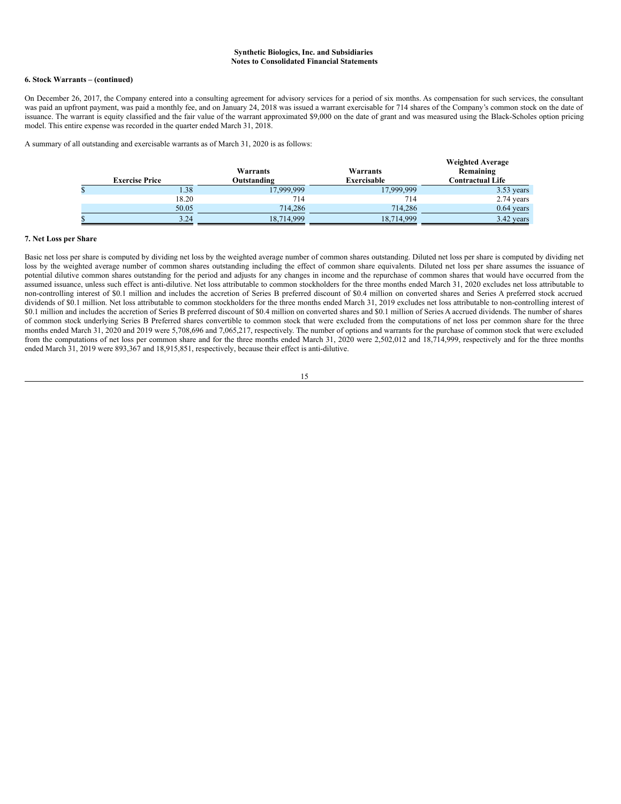### **6. Stock Warrants – (continued)**

On December 26, 2017, the Company entered into a consulting agreement for advisory services for a period of six months. As compensation for such services, the consultant was paid an upfront payment, was paid a monthly fee, and on January 24, 2018 was issued a warrant exercisable for 714 shares of the Company's common stock on the date of issuance. The warrant is equity classified and the fair value of the warrant approximated \$9,000 on the date of grant and was measured using the Black-Scholes option pricing model. This entire expense was recorded in the quarter ended March 31, 2018.

A summary of all outstanding and exercisable warrants as of March 31, 2020 is as follows:

| <b>Exercise Price</b> | Warrants<br>Outstanding | Warrants<br>Exercisable | <b>Weighted Average</b><br>Remaining<br>Contractual Life |
|-----------------------|-------------------------|-------------------------|----------------------------------------------------------|
| 1.38                  | 17,999,999              | 17,999,999              | $3.53$ years                                             |
| 18.20                 | 714                     | 714                     | 2.74 years                                               |
| 50.05                 | 714.286                 | 714.286                 | $0.64$ years                                             |
| 3.24                  | 18.714.999              | 18,714,999              | $3.42$ years                                             |

# **7. Net Loss per Share**

Basic net loss per share is computed by dividing net loss by the weighted average number of common shares outstanding. Diluted net loss per share is computed by dividing net loss by the weighted average number of common shares outstanding including the effect of common share equivalents. Diluted net loss per share assumes the issuance of potential dilutive common shares outstanding for the period and adjusts for any changes in income and the repurchase of common shares that would have occurred from the assumed issuance, unless such effect is anti-dilutive. Net loss attributable to common stockholders for the three months ended March 31, 2020 excludes net loss attributable to non-controlling interest of \$0.1 million and includes the accretion of Series B preferred discount of \$0.4 million on converted shares and Series A preferred stock accrued dividends of \$0.1 million. Net loss attributable to common stockholders for the three months ended March 31, 2019 excludes net loss attributable to non-controlling interest of \$0.1 million and includes the accretion of Series B preferred discount of \$0.4 million on converted shares and \$0.1 million of Series A accrued dividends. The number of shares of common stock underlying Series B Preferred shares convertible to common stock that were excluded from the computations of net loss per common share for the three months ended March 31, 2020 and 2019 were 5,708,696 and 7,065,217, respectively. The number of options and warrants for the purchase of common stock that were excluded from the computations of net loss per common share and for the three months ended March 31, 2020 were 2,502,012 and 18,714,999, respectively and for the three months ended March 31, 2019 were 893,367 and 18,915,851, respectively, because their effect is anti-dilutive.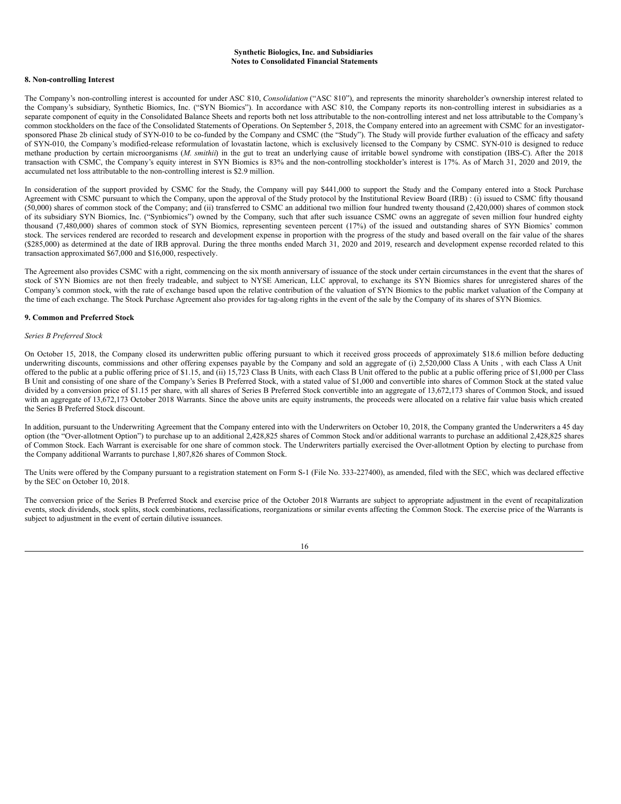## **8. Non-controlling Interest**

The Company's non-controlling interest is accounted for under ASC 810, *Consolidation* ("ASC 810"), and represents the minority shareholder's ownership interest related to the Company's subsidiary, Synthetic Biomics, Inc. ("SYN Biomics"). In accordance with ASC 810, the Company reports its non-controlling interest in subsidiaries as a separate component of equity in the Consolidated Balance Sheets and reports both net loss attributable to the non-controlling interest and net loss attributable to the Company's common stockholders on the face of the Consolidated Statements of Operations. On September 5, 2018, the Company entered into an agreement with CSMC for an investigatorsponsored Phase 2b clinical study of SYN-010 to be co-funded by the Company and CSMC (the "Study"). The Study will provide further evaluation of the efficacy and safety of SYN-010, the Company's modified-release reformulation of lovastatin lactone, which is exclusively licensed to the Company by CSMC. SYN-010 is designed to reduce methane production by certain microorganisms (*M. smithii*) in the gut to treat an underlying cause of irritable bowel syndrome with constipation (IBS-C). After the 2018 transaction with CSMC, the Company's equity interest in SYN Biomics is 83% and the non-controlling stockholder's interest is 17%. As of March 31, 2020 and 2019, the accumulated net loss attributable to the non-controlling interest is \$2.9 million.

In consideration of the support provided by CSMC for the Study, the Company will pay \$441,000 to support the Study and the Company entered into a Stock Purchase Agreement with CSMC pursuant to which the Company, upon the approval of the Study protocol by the Institutional Review Board (IRB) : (i) issued to CSMC fifty thousand  $(50,000)$  shares of common stock of the Company; and (ii) transferred to CSMC an additional two million four hundred twenty thousand  $(2,420,000)$  shares of common stock of its subsidiary SYN Biomics, Inc. ("Synbiomics") owned by the Company, such that after such issuance CSMC owns an aggregate of seven million four hundred eighty thousand (7,480,000) shares of common stock of SYN Biomics, representing seventeen percent (17%) of the issued and outstanding shares of SYN Biomics' common stock. The services rendered are recorded to research and development expense in proportion with the progress of the study and based overall on the fair value of the shares (\$285,000) as determined at the date of IRB approval. During the three months ended March 31, 2020 and 2019, research and development expense recorded related to this transaction approximated \$67,000 and \$16,000, respectively.

The Agreement also provides CSMC with a right, commencing on the six month anniversary of issuance of the stock under certain circumstances in the event that the shares of stock of SYN Biomics are not then freely tradeable, and subject to NYSE American, LLC approval, to exchange its SYN Biomics shares for unregistered shares of the Company's common stock, with the rate of exchange based upon the relative contribution of the valuation of SYN Biomics to the public market valuation of the Company at the time of each exchange. The Stock Purchase Agreement also provides for tag-along rights in the event of the sale by the Company of its shares of SYN Biomics.

### **9. Common and Preferred Stock**

# *Series B Preferred Stock*

On October 15, 2018, the Company closed its underwritten public offering pursuant to which it received gross proceeds of approximately \$18.6 million before deducting underwriting discounts, commissions and other offering expenses payable by the Company and sold an aggregate of (i) 2,520,000 Class A Units , with each Class A Unit offered to the public at a public offering price of \$1.15, and (ii) 15,723 Class B Units, with each Class B Unit offered to the public at a public offering price of \$1,000 per Class B Unit and consisting of one share of the Company's Series B Preferred Stock, with a stated value of \$1,000 and convertible into shares of Common Stock at the stated value divided by a conversion price of \$1.15 per share, with all shares of Series B Preferred Stock convertible into an aggregate of 13,672,173 shares of Common Stock, and issued with an aggregate of 13,672,173 October 2018 Warrants. Since the above units are equity instruments, the proceeds were allocated on a relative fair value basis which created the Series B Preferred Stock discount.

In addition, pursuant to the Underwriting Agreement that the Company entered into with the Underwriters on October 10, 2018, the Company granted the Underwriters a 45 day option (the "Over-allotment Option") to purchase up to an additional 2,428,825 shares of Common Stock and/or additional warrants to purchase an additional 2,428,825 shares of Common Stock. Each Warrant is exercisable for one share of common stock. The Underwriters partially exercised the Over-allotment Option by electing to purchase from the Company additional Warrants to purchase 1,807,826 shares of Common Stock.

The Units were offered by the Company pursuant to a registration statement on Form S-1 (File No. 333-227400), as amended, filed with the SEC, which was declared effective by the SEC on October 10, 2018.

The conversion price of the Series B Preferred Stock and exercise price of the October 2018 Warrants are subject to appropriate adjustment in the event of recapitalization events, stock dividends, stock splits, stock combinations, reclassifications, reorganizations or similar events affecting the Common Stock. The exercise price of the Warrants is subject to adjustment in the event of certain dilutive issuances.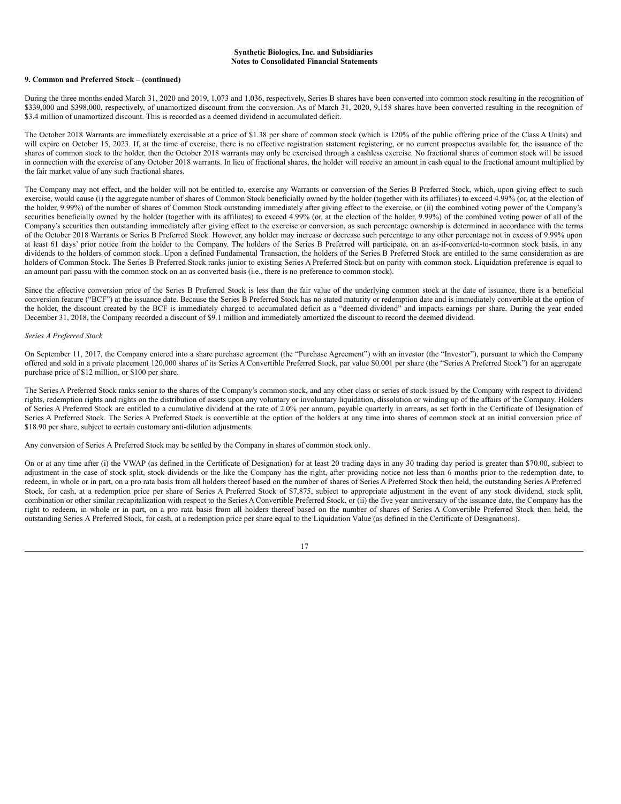### **9. Common and Preferred Stock – (continued)**

During the three months ended March 31, 2020 and 2019, 1,073 and 1,036, respectively, Series B shares have been converted into common stock resulting in the recognition of \$339,000 and \$398,000, respectively, of unamortized discount from the conversion. As of March 31, 2020, 9,158 shares have been converted resulting in the recognition of \$3.4 million of unamortized discount. This is recorded as a deemed dividend in accumulated deficit.

The October 2018 Warrants are immediately exercisable at a price of \$1.38 per share of common stock (which is 120% of the public offering price of the Class A Units) and will expire on October 15, 2023. If, at the time of exercise, there is no effective registration statement registering, or no current prospectus available for, the issuance of the shares of common stock to the holder, then the October 2018 warrants may only be exercised through a cashless exercise. No fractional shares of common stock will be issued in connection with the exercise of any October 2018 warrants. In lieu of fractional shares, the holder will receive an amount in cash equal to the fractional amount multiplied by the fair market value of any such fractional shares.

The Company may not effect, and the holder will not be entitled to, exercise any Warrants or conversion of the Series B Preferred Stock, which, upon giving effect to such exercise, would cause (i) the aggregate number of shares of Common Stock beneficially owned by the holder (together with its affiliates) to exceed 4.99% (or, at the election of the holder, 9.99%) of the number of shares of Common Stock outstanding immediately after giving effect to the exercise, or (ii) the combined voting power of the Company's securities beneficially owned by the holder (together with its affiliates) to exceed 4.99% (or, at the election of the holder, 9.99%) of the combined voting power of all of the Company's securities then outstanding immediately after giving effect to the exercise or conversion, as such percentage ownership is determined in accordance with the terms of the October 2018 Warrants or Series B Preferred Stock. However, any holder may increase or decrease such percentage to any other percentage not in excess of 9.99% upon at least 61 days' prior notice from the holder to the Company. The holders of the Series B Preferred will participate, on an as-if-converted-to-common stock basis, in any dividends to the holders of common stock. Upon a defined Fundamental Transaction, the holders of the Series B Preferred Stock are entitled to the same consideration as are holders of Common Stock. The Series B Preferred Stock ranks junior to existing Series A Preferred Stock but on parity with common stock. Liquidation preference is equal to an amount pari passu with the common stock on an as converted basis (i.e., there is no preference to common stock).

Since the effective conversion price of the Series B Preferred Stock is less than the fair value of the underlying common stock at the date of issuance, there is a beneficial conversion feature ("BCF") at the issuance date. Because the Series B Preferred Stock has no stated maturity or redemption date and is immediately convertible at the option of the holder, the discount created by the BCF is immediately charged to accumulated deficit as a "deemed dividend" and impacts earnings per share. During the year ended December 31, 2018, the Company recorded a discount of \$9.1 million and immediately amortized the discount to record the deemed dividend.

# *Series A Preferred Stock*

On September 11, 2017, the Company entered into a share purchase agreement (the "Purchase Agreement") with an investor (the "Investor"), pursuant to which the Company offered and sold in a private placement 120,000 shares of its Series A Convertible Preferred Stock, par value \$0.001 per share (the "Series A Preferred Stock") for an aggregate purchase price of \$12 million, or \$100 per share.

The Series A Preferred Stock ranks senior to the shares of the Company's common stock, and any other class or series of stock issued by the Company with respect to dividend rights, redemption rights and rights on the distribution of assets upon any voluntary or involuntary liquidation, dissolution or winding up of the affairs of the Company. Holders of Series A Preferred Stock are entitled to a cumulative dividend at the rate of 2.0% per annum, payable quarterly in arrears, as set forth in the Certificate of Designation of Series A Preferred Stock. The Series A Preferred Stock is convertible at the option of the holders at any time into shares of common stock at an initial conversion price of \$18.90 per share, subject to certain customary anti-dilution adjustments.

Any conversion of Series A Preferred Stock may be settled by the Company in shares of common stock only.

On or at any time after (i) the VWAP (as defined in the Certificate of Designation) for at least 20 trading days in any 30 trading day period is greater than \$70.00, subject to adjustment in the case of stock split, stock dividends or the like the Company has the right, after providing notice not less than 6 months prior to the redemption date, to redeem, in whole or in part, on a pro rata basis from all holders thereof based on the number of shares of Series A Preferred Stock then held, the outstanding Series A Preferred Stock, for cash, at a redemption price per share of Series A Preferred Stock of \$7,875, subject to appropriate adjustment in the event of any stock dividend, stock split, combination or other similar recapitalization with respect to the Series A Convertible Preferred Stock, or  $(ii)$  the five year anniversary of the issuance date, the Company has the right to redeem, in whole or in part, on a pro rata basis from all holders thereof based on the number of shares of Series A Convertible Preferred Stock then held, the outstanding Series A Preferred Stock, for cash, at a redemption price per share equal to the Liquidation Value (as defined in the Certificate of Designations).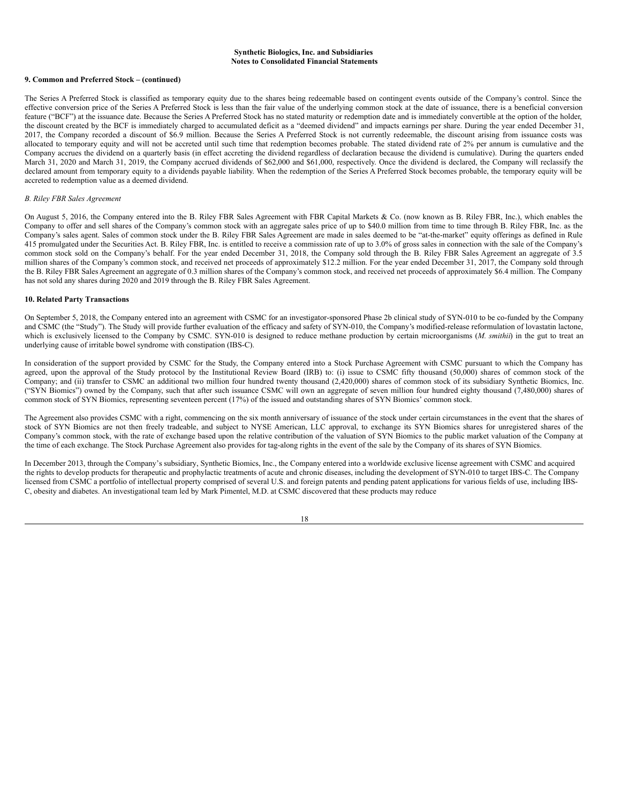### **9. Common and Preferred Stock – (continued)**

The Series A Preferred Stock is classified as temporary equity due to the shares being redeemable based on contingent events outside of the Company's control. Since the effective conversion price of the Series A Preferred Stock is less than the fair value of the underlying common stock at the date of issuance, there is a beneficial conversion feature ("BCF") at the issuance date. Because the Series A Preferred Stock has no stated maturity or redemption date and is immediately convertible at the option of the holder, the discount created by the BCF is immediately charged to accumulated deficit as a "deemed dividend" and impacts earnings per share. During the year ended December 31, 2017, the Company recorded a discount of \$6.9 million. Because the Series A Preferred Stock is not currently redeemable, the discount arising from issuance costs was allocated to temporary equity and will not be accreted until such time that redemption becomes probable. The stated dividend rate of 2% per annum is cumulative and the Company accrues the dividend on a quarterly basis (in effect accreting the dividend regardless of declaration because the dividend is cumulative). During the quarters ended March 31, 2020 and March 31, 2019, the Company accrued dividends of \$62,000 and \$61,000, respectively. Once the dividend is declared, the Company will reclassify the declared amount from temporary equity to a dividends payable liability. When the redemption of the Series A Preferred Stock becomes probable, the temporary equity will be accreted to redemption value as a deemed dividend.

### *B. Riley FBR Sales Agreement*

On August 5, 2016, the Company entered into the B. Riley FBR Sales Agreement with FBR Capital Markets & Co. (now known as B. Riley FBR, Inc.), which enables the Company to offer and sell shares of the Company's common stock with an aggregate sales price of up to \$40.0 million from time to time through B. Riley FBR, Inc. as the Company's sales agent. Sales of common stock under the B. Riley FBR Sales Agreement are made in sales deemed to be "at-the-market" equity offerings as defined in Rule 415 promulgated under the Securities Act. B. Riley FBR, Inc. is entitled to receive a commission rate of up to 3.0% of gross sales in connection with the sale of the Company's common stock sold on the Company's behalf. For the year ended December 31, 2018, the Company sold through the B. Riley FBR Sales Agreement an aggregate of 3.5 million shares of the Company's common stock, and received net proceeds of approximately \$12.2 million. For the year ended December 31, 2017, the Company sold through the B. Riley FBR Sales Agreement an aggregate of 0.3 million shares of the Company's common stock, and received net proceeds of approximately \$6.4 million. The Company has not sold any shares during 2020 and 2019 through the B. Riley FBR Sales Agreement.

#### **10. Related Party Transactions**

On September 5, 2018, the Company entered into an agreement with CSMC for an investigator-sponsored Phase 2b clinical study of SYN-010 to be co-funded by the Company and CSMC (the "Study"). The Study will provide further evaluation of the efficacy and safety of SYN-010, the Company's modified-release reformulation of lovastatin lactone, which is exclusively licensed to the Company by CSMC. SYN-010 is designed to reduce methane production by certain microorganisms (*M. smithii*) in the gut to treat an underlying cause of irritable bowel syndrome with constipation (IBS-C).

In consideration of the support provided by CSMC for the Study, the Company entered into a Stock Purchase Agreement with CSMC pursuant to which the Company has agreed, upon the approval of the Study protocol by the Institutional Review Board (IRB) to: (i) issue to CSMC fifty thousand (50,000) shares of common stock of the Company; and (ii) transfer to CSMC an additional two million four hundred twenty thousand (2,420,000) shares of common stock of its subsidiary Synthetic Biomics, Inc. ("SYN Biomics") owned by the Company, such that after such issuance CSMC will own an aggregate of seven million four hundred eighty thousand (7,480,000) shares of common stock of SYN Biomics, representing seventeen percent (17%) of the issued and outstanding shares of SYN Biomics' common stock.

The Agreement also provides CSMC with a right, commencing on the six month anniversary of issuance of the stock under certain circumstances in the event that the shares of stock of SYN Biomics are not then freely tradeable, and subject to NYSE American, LLC approval, to exchange its SYN Biomics shares for unregistered shares of the Company's common stock, with the rate of exchange based upon the relative contribution of the valuation of SYN Biomics to the public market valuation of the Company at the time of each exchange. The Stock Purchase Agreement also provides for tag-along rights in the event of the sale by the Company of its shares of SYN Biomics.

In December 2013, through the Company's subsidiary, Synthetic Biomics, Inc., the Company entered into a worldwide exclusive license agreement with CSMC and acquired the rights to develop products for therapeutic and prophylactic treatments of acute and chronic diseases, including the development of SYN-010 to target IBS-C. The Company licensed from CSMC a portfolio of intellectual property comprised of several U.S. and foreign patents and pending patent applications for various fields of use, including IBS-C, obesity and diabetes. An investigational team led by Mark Pimentel, M.D. at CSMC discovered that these products may reduce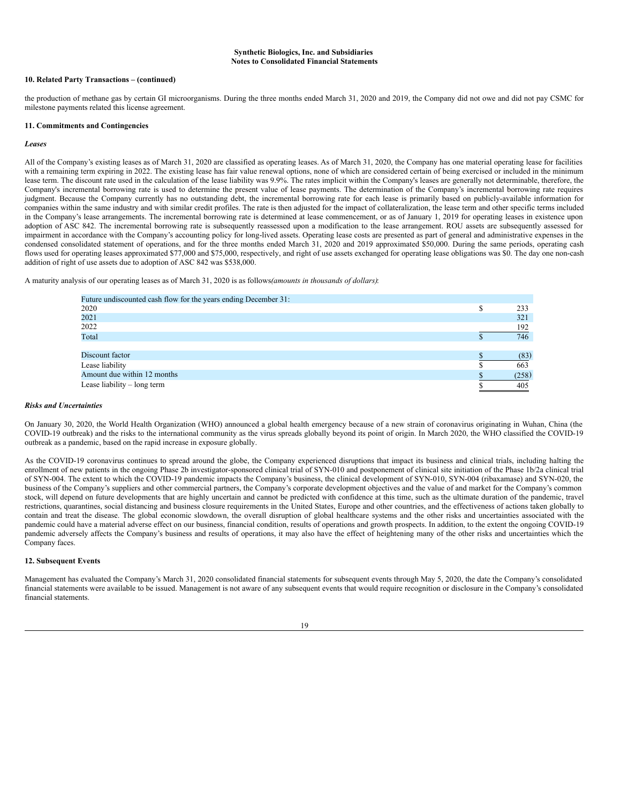#### **10. Related Party Transactions – (continued)**

the production of methane gas by certain GI microorganisms. During the three months ended March 31, 2020 and 2019, the Company did not owe and did not pay CSMC for milestone payments related this license agreement.

### **11. Commitments and Contingencies**

### *Leases*

All of the Company's existing leases as of March 31, 2020 are classified as operating leases. As of March 31, 2020, the Company has one material operating lease for facilities with a remaining term expiring in 2022. The existing lease has fair value renewal options, none of which are considered certain of being exercised or included in the minimum lease term. The discount rate used in the calculation of the lease liability was 9.9%. The rates implicit within the Company's leases are generally not determinable, therefore, the Company's incremental borrowing rate is used to determine the present value of lease payments. The determination of the Company's incremental borrowing rate requires judgment. Because the Company currently has no outstanding debt, the incremental borrowing rate for each lease is primarily based on publicly-available information for companies within the same industry and with similar credit profiles. The rate is then adjusted for the impact of collateralization, the lease term and other specific terms included in the Company's lease arrangements. The incremental borrowing rate is determined at lease commencement, or as of January 1, 2019 for operating leases in existence upon adoption of ASC 842. The incremental borrowing rate is subsequently reassessed upon a modification to the lease arrangement. ROU assets are subsequently assessed for impairment in accordance with the Company's accounting policy for long-lived assets. Operating lease costs are presented as part of general and administrative expenses in the condensed consolidated statement of operations, and for the three months ended March 31, 2020 and 2019 approximated \$50,000. During the same periods, operating cash flows used for operating leases approximated \$77,000 and \$75,000, respectively, and right of use assets exchanged for operating lease obligations was \$0. The day one non-cash addition of right of use assets due to adoption of ASC 842 was \$538,000.

A maturity analysis of our operating leases as of March 31, 2020 is as follows*(amounts in thousands of dollars)*:

| Future undiscounted cash flow for the years ending December 31: |       |
|-----------------------------------------------------------------|-------|
| 2020                                                            | 233   |
| 2021                                                            | 321   |
| 2022                                                            | 192   |
| Total                                                           | 746   |
|                                                                 |       |
| Discount factor                                                 | (83)  |
| Lease liability                                                 | 663   |
| Amount due within 12 months                                     | (258) |
| Lease liability $-$ long term                                   | 405   |

#### *Risks and Uncertainties*

On January 30, 2020, the World Health Organization (WHO) announced a global health emergency because of a new strain of coronavirus originating in Wuhan, China (the COVID-19 outbreak) and the risks to the international community as the virus spreads globally beyond its point of origin. In March 2020, the WHO classified the COVID-19 outbreak as a pandemic, based on the rapid increase in exposure globally.

As the COVID-19 coronavirus continues to spread around the globe, the Company experienced disruptions that impact its business and clinical trials, including halting the enrollment of new patients in the ongoing Phase 2b investigator-sponsored clinical trial of SYN-010 and postponement of clinical site initiation of the Phase 1b/2a clinical trial of SYN-004. The extent to which the COVID-19 pandemic impacts the Company's business, the clinical development of SYN-010, SYN-004 (ribaxamase) and SYN-020, the business of the Company's suppliers and other commercial partners, the Company's corporate development objectives and the value of and market for the Company's common stock, will depend on future developments that are highly uncertain and cannot be predicted with confidence at this time, such as the ultimate duration of the pandemic, travel restrictions, quarantines, social distancing and business closure requirements in the United States, Europe and other countries, and the effectiveness of actions taken globally to contain and treat the disease. The global economic slowdown, the overall disruption of global healthcare systems and the other risks and uncertainties associated with the pandemic could have a material adverse effect on our business, financial condition, results of operations and growth prospects. In addition, to the extent the ongoing COVID-19 pandemic adversely affects the Company's business and results of operations, it may also have the effect of heightening many of the other risks and uncertainties which the Company faces.

# **12. Subsequent Events**

Management has evaluated the Company's March 31, 2020 consolidated financial statements for subsequent events through May 5, 2020, the date the Company's consolidated financial statements were available to be issued. Management is not aware of any subsequent events that would require recognition or disclosure in the Company's consolidated financial statements.

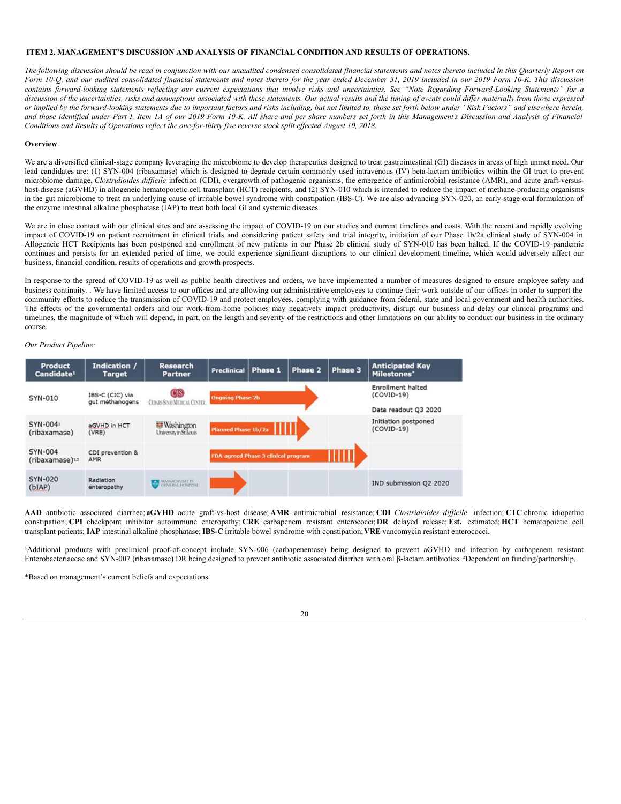## <span id="page-20-0"></span>**ITEM 2. MANAGEMENT'S DISCUSSION AND ANALYSIS OF FINANCIAL CONDITION AND RESULTS OF OPERATIONS.**

The following discussion should be read in conjunction with our unaudited condensed consolidated financial statements and notes thereto included in this Quarterly Report on Form 10-Q, and our audited consolidated financial statements and notes thereto for the year ended December 31, 2019 included in our 2019 Form 10-K. This discussion contains forward-looking statements reflecting our current expectations that involve risks and uncertainties. See "Note Regarding Forward-Looking Statements" for a discussion of the uncertainties, risks and assumptions associated with these statements. Our actual results and the timing of events could differ materially from those expressed or implied by the forward-looking statements due to important factors and risks including, but not limited to, those set forth below under "Risk Factors" and elsewhere herein, and those identified under Part I, Item 1A of our 2019 Form 10-K. All share and per share numbers set forth in this Management's Discussion and Analysis of Financial Conditions and Results of Operations reflect the one-for-thirty five reverse stock split effected August 10, 2018.

#### **Overview**

We are a diversified clinical-stage company leveraging the microbiome to develop therapeutics designed to treat gastrointestinal (GI) diseases in areas of high unmet need. Our lead candidates are: (1) SYN-004 (ribaxamase) which is designed to degrade certain commonly used intravenous (IV) beta-lactam antibiotics within the GI tract to prevent microbiome damage, *Clostridioides difficile* infection (CDI), overgrowth of pathogenic organisms, the emergence of antimicrobial resistance (AMR), and acute graft-versushost-disease (aGVHD) in allogeneic hematopoietic cell transplant (HCT) recipients, and (2) SYN-010 which is intended to reduce the impact of methane-producing organisms in the gut microbiome to treat an underlying cause of irritable bowel syndrome with constipation (IBS-C). We are also advancing SYN-020, an early-stage oral formulation of the enzyme intestinal alkaline phosphatase (IAP) to treat both local GI and systemic diseases.

We are in close contact with our clinical sites and are assessing the impact of COVID-19 on our studies and current timelines and costs. With the recent and rapidly evolving impact of COVID-19 on patient recruitment in clinical trials and considering patient safety and trial integrity, initiation of our Phase 1b/2a clinical study of SYN-004 in Allogeneic HCT Recipients has been postponed and enrollment of new patients in our Phase 2b clinical study of SYN-010 has been halted. If the COVID-19 pandemic continues and persists for an extended period of time, we could experience significant disruptions to our clinical development timeline, which would adversely affect our business, financial condition, results of operations and growth prospects.

In response to the spread of COVID-19 as well as public health directives and orders, we have implemented a number of measures designed to ensure employee safety and business continuity. . We have limited access to our offices and are allowing our administrative employees to continue their work outside of our offices in order to support the community efforts to reduce the transmission of COVID-19 and protect employees, complying with guidance from federal, state and local government and health authorities. The effects of the governmental orders and our work-from-home policies may negatively impact productivity, disrupt our business and delay our clinical programs and timelines, the magnitude of which will depend, in part, on the length and severity of the restrictions and other limitations on our ability to conduct our business in the ordinary course.

*Our Product Pipeline:*

| <b>Product</b><br>Candidate <sup>1</sup> | Indication /<br><b>Target</b>      | <b>Research</b><br><b>Partner</b>                    | Preclinical                | Phase 1                             | Phase 2 | Phase 3 | <b>Anticipated Key</b><br><b>Milestones</b> * |
|------------------------------------------|------------------------------------|------------------------------------------------------|----------------------------|-------------------------------------|---------|---------|-----------------------------------------------|
| SYN-010                                  | IBS-C (CIC) via<br>gut methanogens | C <sub>S</sub><br><b>CEBARS SINAL MEDICAL CENTER</b> | <b>Ongoing Phase 2b</b>    |                                     |         |         | <b>Enrollment halted</b><br>$(COVID-19)$      |
|                                          |                                    |                                                      |                            |                                     |         |         | Data readout Q3 2020                          |
| SYN-004 <sup>1</sup><br>(ribaxamase)     | aGVHD in HCT<br>(VRE)              | <b>Washington</b><br>University in St Louis          | <b>Planned Phase 1b/2a</b> |                                     |         |         | Initiation postponed<br>$(COVID-19)$          |
| SYN-004<br>(ribaxamase) <sup>1,2</sup>   | CDI prevention &<br>AMR            |                                                      |                            | FDA-agreed Phase 3 clinical program |         |         |                                               |
| SYN-020<br>(bIAP)                        | Radiation<br>enteropathy           | MASSACHUSETTS<br>GENERAL HOSPITAL                    |                            |                                     |         |         | IND submission Q2 2020                        |

**AAD** antibiotic associated diarrhea; **aGVHD** acute graft-vs-host disease; **AMR** antimicrobial resistance; **CDI** *Clostridioides dif icile* infection; **CIC** chronic idiopathic constipation; **CPI** checkpoint inhibitor autoimmune enteropathy; **CRE** carbapenem resistant enterococci;**DR** delayed release; **Est.** estimated; **HCT** hematopoietic cell transplant patients; **IAP** intestinal alkaline phosphatase;**IBS-C** irritable bowel syndrome with constipation;**VRE** vancomycin resistant enterococci.

<sup>1</sup>Additional products with preclinical proof-of-concept include SYN-006 (carbapenemase) being designed to prevent aGVHD and infection by carbapenem resistant Enterobacteriaceae and SYN-007 (ribaxamase) DR being designed to prevent antibiotic associated diarrhea with oral β-lactam antibiotics. ²Dependent on funding/partnership.

\*Based on management's current beliefs and expectations.

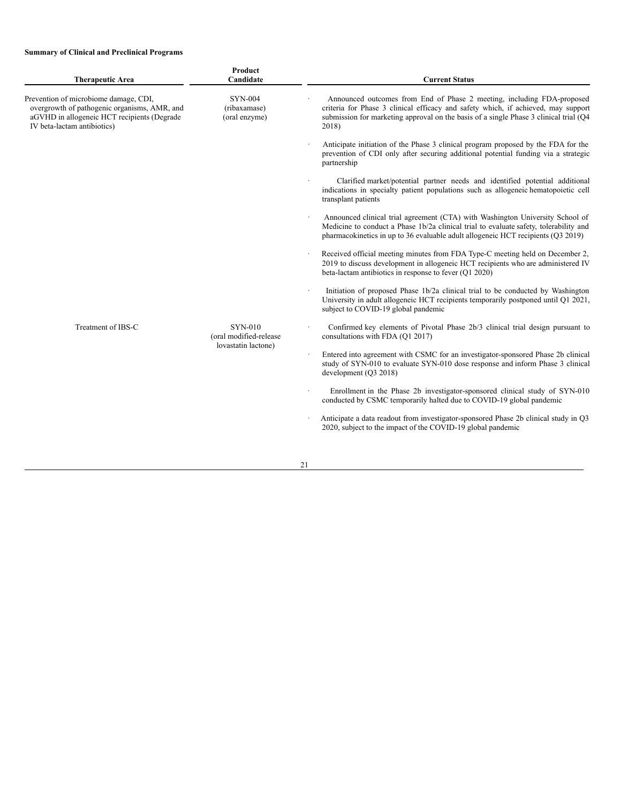# **Summary of Clinical and Preclinical Programs**

| <b>Therapeutic Area</b>                                                                                                                                             | Product<br>Candidate                                                         | <b>Current Status</b>                                                                                                                                                                                                                                         |
|---------------------------------------------------------------------------------------------------------------------------------------------------------------------|------------------------------------------------------------------------------|---------------------------------------------------------------------------------------------------------------------------------------------------------------------------------------------------------------------------------------------------------------|
| Prevention of microbiome damage, CDI,<br>overgrowth of pathogenic organisms, AMR, and<br>aGVHD in allogeneic HCT recipients (Degrade<br>IV beta-lactam antibiotics) | <b>SYN-004</b><br>(ribaxamase)<br>(oral enzyme)                              | Announced outcomes from End of Phase 2 meeting, including FDA-proposed<br>criteria for Phase 3 clinical efficacy and safety which, if achieved, may support<br>submission for marketing approval on the basis of a single Phase 3 clinical trial (Q4<br>2018) |
|                                                                                                                                                                     |                                                                              | Anticipate initiation of the Phase 3 clinical program proposed by the FDA for the<br>prevention of CDI only after securing additional potential funding via a strategic<br>partnership                                                                        |
|                                                                                                                                                                     |                                                                              | Clarified market/potential partner needs and identified potential additional<br>indications in specialty patient populations such as allogeneic hematopoietic cell<br>transplant patients                                                                     |
|                                                                                                                                                                     |                                                                              | Announced clinical trial agreement (CTA) with Washington University School of<br>Medicine to conduct a Phase 1b/2a clinical trial to evaluate safety, tolerability and<br>pharmacokinetics in up to 36 evaluable adult allogeneic HCT recipients (Q3 2019)    |
|                                                                                                                                                                     |                                                                              | Received official meeting minutes from FDA Type-C meeting held on December 2,<br>2019 to discuss development in allogeneic HCT recipients who are administered IV<br>beta-lactam antibiotics in response to fever (Q1 2020)                                   |
|                                                                                                                                                                     |                                                                              | Initiation of proposed Phase 1b/2a clinical trial to be conducted by Washington<br>University in adult allogeneic HCT recipients temporarily postponed until Q1 2021,<br>subject to COVID-19 global pandemic                                                  |
| Treatment of IBS-C                                                                                                                                                  | <b>SYN-010</b><br>(oral modified-release<br>consultations with FDA (Q1 2017) | Confirmed key elements of Pivotal Phase 2b/3 clinical trial design pursuant to                                                                                                                                                                                |
|                                                                                                                                                                     | lovastatin lactone)                                                          | Entered into agreement with CSMC for an investigator-sponsored Phase 2b clinical<br>study of SYN-010 to evaluate SYN-010 dose response and inform Phase 3 clinical<br>development (Q3 2018)                                                                   |
|                                                                                                                                                                     |                                                                              | Enrollment in the Phase 2b investigator-sponsored clinical study of SYN-010<br>conducted by CSMC temporarily halted due to COVID-19 global pandemic                                                                                                           |
|                                                                                                                                                                     |                                                                              | Anticipate a data readout from investigator-sponsored Phase 2b clinical study in Q3<br>2020, subject to the impact of the COVID-19 global pandemic                                                                                                            |
|                                                                                                                                                                     |                                                                              | 21                                                                                                                                                                                                                                                            |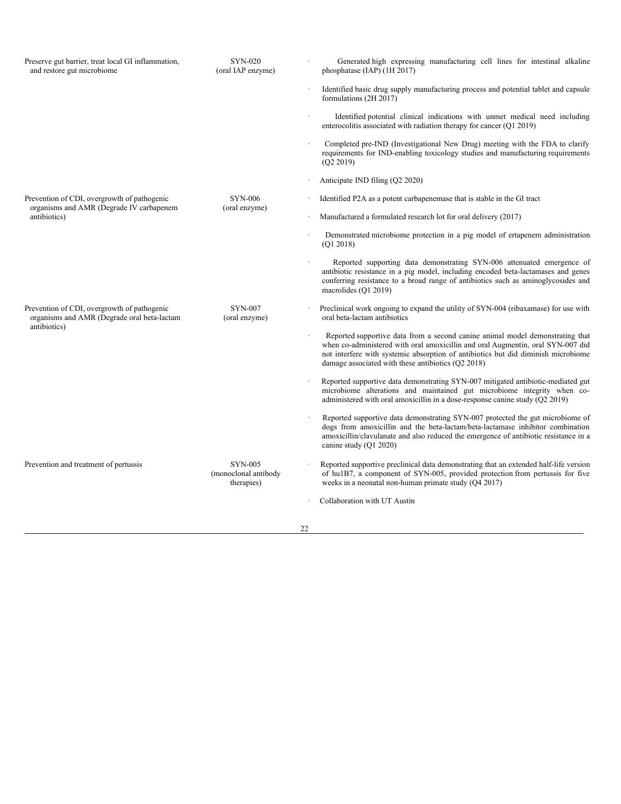| Preserve gut barrier, treat local GI inflammation,<br>and restore gut microbiome                           | SYN-020<br>(oral IAP enzyme)                         | Generated high expressing manufacturing cell lines for intestinal alkaline<br>phosphatase (IAP) (1H 2017)                                                                                                                                                                                                   |
|------------------------------------------------------------------------------------------------------------|------------------------------------------------------|-------------------------------------------------------------------------------------------------------------------------------------------------------------------------------------------------------------------------------------------------------------------------------------------------------------|
|                                                                                                            |                                                      | Identified basic drug supply manufacturing process and potential tablet and capsule<br>formulations (2H 2017)                                                                                                                                                                                               |
|                                                                                                            |                                                      | Identified potential clinical indications with unmet medical need including<br>enterocolitis associated with radiation therapy for cancer (Q1 2019)                                                                                                                                                         |
|                                                                                                            |                                                      | Completed pre-IND (Investigational New Drug) meeting with the FDA to clarify<br>requirements for IND-enabling toxicology studies and manufacturing requirements<br>(02 2019)                                                                                                                                |
|                                                                                                            |                                                      | Anticipate IND filing (Q2 2020)                                                                                                                                                                                                                                                                             |
| Prevention of CDI, overgrowth of pathogenic<br>organisms and AMR (Degrade IV carbapenem                    | <b>SYN-006</b><br>(oral enzyme)                      | Identified P2A as a potent carbapenemase that is stable in the GI tract                                                                                                                                                                                                                                     |
| antibiotics)                                                                                               |                                                      | Manufactured a formulated research lot for oral delivery (2017)                                                                                                                                                                                                                                             |
|                                                                                                            |                                                      | Demonstrated microbiome protection in a pig model of ertapenem administration<br>(Q1 2018)                                                                                                                                                                                                                  |
|                                                                                                            |                                                      | Reported supporting data demonstrating SYN-006 attenuated emergence of<br>antibiotic resistance in a pig model, including encoded beta-lactamases and genes<br>conferring resistance to a broad range of antibiotics such as aminoglycosides and<br>macrolides (Q1 2019)                                    |
| Prevention of CDI, overgrowth of pathogenic<br>organisms and AMR (Degrade oral beta-lactam<br>antibiotics) | <b>SYN-007</b><br>(oral enzyme)                      | Preclinical work ongoing to expand the utility of SYN-004 (ribaxamase) for use with<br>oral beta-lactam antibiotics                                                                                                                                                                                         |
|                                                                                                            |                                                      | Reported supportive data from a second canine animal model demonstrating that<br>when co-administered with oral amoxicillin and oral Augmentin, oral SYN-007 did<br>not interfere with systemic absorption of antibiotics but did diminish microbiome<br>damage associated with these antibiotics (Q2 2018) |
|                                                                                                            |                                                      | Reported supportive data demonstrating SYN-007 mitigated antibiotic-mediated gut<br>microbiome alterations and maintained gut microbiome integrity when co-<br>administered with oral amoxicillin in a dose-response canine study (Q2 2019)                                                                 |
|                                                                                                            |                                                      | Reported supportive data demonstrating SYN-007 protected the gut microbiome of<br>dogs from amoxicillin and the beta-lactam/beta-lactamase inhibitor combination<br>amoxicillin/clavulanate and also reduced the emergence of antibiotic resistance in a<br>canine study (Q1 2020)                          |
| Prevention and treatment of pertussis                                                                      | <b>SYN-005</b><br>(monoclonal antibody<br>therapies) | Reported supportive preclinical data demonstrating that an extended half-life version<br>of hu1B7, a component of SYN-005, provided protection from pertussis for five<br>weeks in a neonatal non-human primate study (Q4 2017)                                                                             |
|                                                                                                            |                                                      | Collaboration with UT Austin                                                                                                                                                                                                                                                                                |
|                                                                                                            |                                                      | 22                                                                                                                                                                                                                                                                                                          |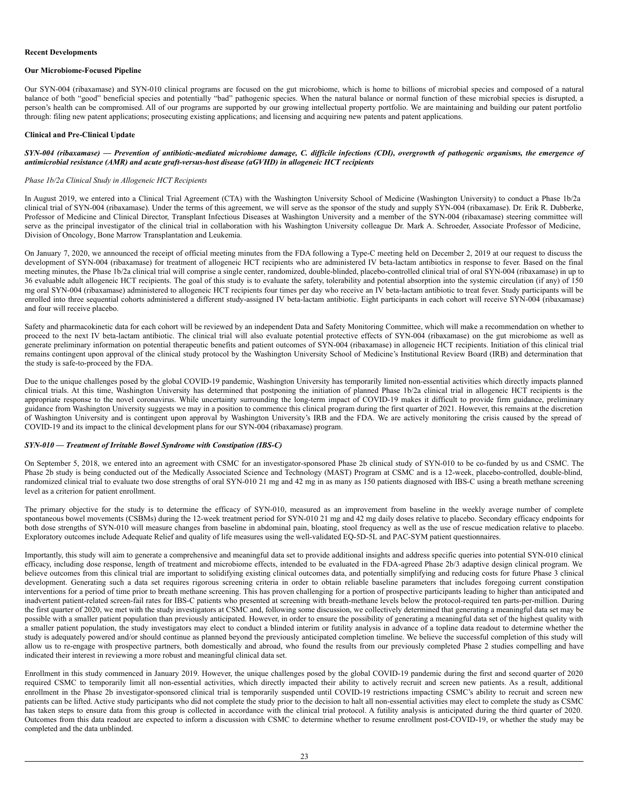## **Recent Developments**

# **Our Microbiome-Focused Pipeline**

Our SYN-004 (ribaxamase) and SYN-010 clinical programs are focused on the gut microbiome, which is home to billions of microbial species and composed of a natural balance of both "good" beneficial species and potentially "bad" pathogenic species. When the natural balance or normal function of these microbial species is disrupted, a person's health can be compromised. All of our programs are supported by our growing intellectual property portfolio. We are maintaining and building our patent portfolio through: filing new patent applications; prosecuting existing applications; and licensing and acquiring new patents and patent applications.

# **Clinical and Pre-Clinical Update**

# SYN-004 (ribaxamase) — Prevention of antibiotic-mediated microbiome damage, C. difficile infections (CDI), overgrowth of pathogenic organisms, the emergence of *antimicrobial resistance (AMR) and acute graft-versus-host disease (aGVHD) in allogeneic HCT recipients*

# *Phase 1b/2a Clinical Study in Allogeneic HCT Recipients*

In August 2019, we entered into a Clinical Trial Agreement (CTA) with the Washington University School of Medicine (Washington University) to conduct a Phase 1b/2a clinical trial of SYN-004 (ribaxamase). Under the terms of this agreement, we will serve as the sponsor of the study and supply SYN-004 (ribaxamase). Dr. Erik R. Dubberke, Professor of Medicine and Clinical Director, Transplant Infectious Diseases at Washington University and a member of the SYN-004 (ribaxamase) steering committee will serve as the principal investigator of the clinical trial in collaboration with his Washington University colleague Dr. Mark A. Schroeder, Associate Professor of Medicine, Division of Oncology, Bone Marrow Transplantation and Leukemia.

On January 7, 2020, we announced the receipt of official meeting minutes from the FDA following a Type-C meeting held on December 2, 2019 at our request to discuss the development of SYN-004 (ribaxamase) for treatment of allogeneic HCT recipients who are administered IV beta-lactam antibiotics in response to fever. Based on the final meeting minutes, the Phase 1b/2a clinical trial will comprise a single center, randomized, double-blinded, placebo-controlled clinical trial of oral SYN-004 (ribaxamase) in up to 36 evaluable adult allogeneic HCT recipients. The goal of this study is to evaluate the safety, tolerability and potential absorption into the systemic circulation (if any) of 150 mg oral SYN-004 (ribaxamase) administered to allogeneic HCT recipients four times per day who receive an IV beta-lactam antibiotic to treat fever. Study participants will be enrolled into three sequential cohorts administered a different study-assigned IV beta-lactam antibiotic. Eight participants in each cohort will receive SYN-004 (ribaxamase) and four will receive placebo.

Safety and pharmacokinetic data for each cohort will be reviewed by an independent Data and Safety Monitoring Committee, which will make a recommendation on whether to proceed to the next IV beta-lactam antibiotic. The clinical trial will also evaluate potential protective effects of SYN-004 (ribaxamase) on the gut microbiome as well as generate preliminary information on potential therapeutic benefits and patient outcomes of SYN-004 (ribaxamase) in allogeneic HCT recipients. Initiation of this clinical trial remains contingent upon approval of the clinical study protocol by the Washington University School of Medicine's Institutional Review Board (IRB) and determination that the study is safe-to-proceed by the FDA.

Due to the unique challenges posed by the global COVID-19 pandemic, Washington University has temporarily limited non-essential activities which directly impacts planned clinical trials. At this time, Washington University has determined that postponing the initiation of planned Phase 1b/2a clinical trial in allogeneic HCT recipients is the appropriate response to the novel coronavirus. While uncertainty surrounding the long-term impact of COVID-19 makes it difficult to provide firm guidance, preliminary guidance from Washington University suggests we may in a position to commence this clinical program during the first quarter of 2021. However, this remains at the discretion of Washington University and is contingent upon approval by Washington University's IRB and the FDA. We are actively monitoring the crisis caused by the spread of COVID-19 and its impact to the clinical development plans for our SYN-004 (ribaxamase) program.

# *SYN-010 — Treatment of Irritable Bowel Syndrome with Constipation (IBS-C)*

On September 5, 2018, we entered into an agreement with CSMC for an investigator-sponsored Phase 2b clinical study of SYN-010 to be co-funded by us and CSMC. The Phase 2b study is being conducted out of the Medically Associated Science and Technology (MAST) Program at CSMC and is a 12-week, placebo-controlled, double-blind, randomized clinical trial to evaluate two dose strengths of oral SYN-010 21 mg and 42 mg in as many as 150 patients diagnosed with IBS-C using a breath methane screening level as a criterion for patient enrollment.

The primary objective for the study is to determine the efficacy of SYN-010, measured as an improvement from baseline in the weekly average number of complete spontaneous bowel movements (CSBMs) during the 12-week treatment period for SYN-010 21 mg and 42 mg daily doses relative to placebo. Secondary efficacy endpoints for both dose strengths of SYN-010 will measure changes from baseline in abdominal pain, bloating, stool frequency as well as the use of rescue medication relative to placebo. Exploratory outcomes include Adequate Relief and quality of life measures using the well-validated EQ-5D-5L and PAC-SYM patient questionnaires.

Importantly, this study will aim to generate a comprehensive and meaningful data set to provide additional insights and address specific queries into potential SYN-010 clinical efficacy, including dose response, length of treatment and microbiome effects, intended to be evaluated in the FDA-agreed Phase 2b/3 adaptive design clinical program. We believe outcomes from this clinical trial are important to solidifying existing clinical outcomes data, and potentially simplifying and reducing costs for future Phase 3 clinical development. Generating such a data set requires rigorous screening criteria in order to obtain reliable baseline parameters that includes foregoing current constipation interventions for a period of time prior to breath methane screening. This has proven challenging for a portion of prospective participants leading to higher than anticipated and inadvertent patient-related screen-fail rates for IBS-C patients who presented at screening with breath-methane levels below the protocol-required ten parts-per-million. During the first quarter of 2020, we met with the study investigators at CSMC and, following some discussion, we collectively determined that generating a meaningful data set may be possible with a smaller patient population than previously anticipated. However, in order to ensure the possibility of generating a meaningful data set of the highest quality with a smaller patient population, the study investigators may elect to conduct a blinded interim or futility analysis in advance of a topline data readout to determine whether the study is adequately powered and/or should continue as planned beyond the previously anticipated completion timeline. We believe the successful completion of this study will allow us to re-engage with prospective partners, both domestically and abroad, who found the results from our previously completed Phase 2 studies compelling and have indicated their interest in reviewing a more robust and meaningful clinical data set.

Enrollment in this study commenced in January 2019. However, the unique challenges posed by the global COVID-19 pandemic during the first and second quarter of 2020 required CSMC to temporarily limit all non-essential activities, which directly impacted their ability to actively recruit and screen new patients. As a result, additional enrollment in the Phase 2b investigator-sponsored clinical trial is temporarily suspended until COVID-19 restrictions impacting CSMC's ability to recruit and screen new patients can be lifted. Active study participants who did not complete the study prior to the decision to halt all non-essential activities may elect to complete the study as CSMC has taken steps to ensure data from this group is collected in accordance with the clinical trial protocol. A futility analysis is anticipated during the third quarter of 2020. Outcomes from this data readout are expected to inform a discussion with CSMC to determine whether to resume enrollment post-COVID-19, or whether the study may be completed and the data unblinded.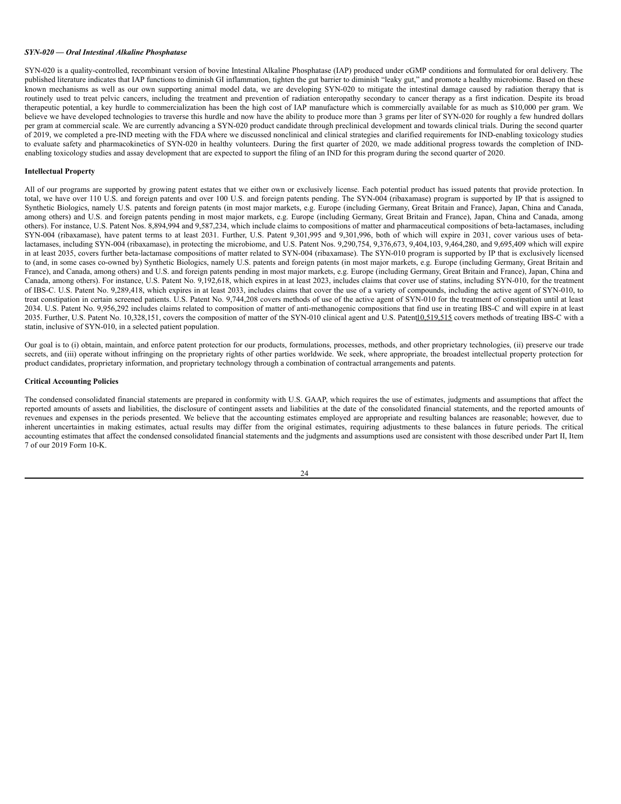### *SYN-020 — Oral Intestinal Alkaline Phosphatase*

SYN-020 is a quality-controlled, recombinant version of bovine Intestinal Alkaline Phosphatase (IAP) produced under cGMP conditions and formulated for oral delivery. The published literature indicates that IAP functions to diminish GI inflammation, tighten the gut barrier to diminish "leaky gut," and promote a healthy microbiome. Based on these known mechanisms as well as our own supporting animal model data, we are developing SYN-020 to mitigate the intestinal damage caused by radiation therapy that is routinely used to treat pelvic cancers, including the treatment and prevention of radiation enteropathy secondary to cancer therapy as a first indication. Despite its broad therapeutic potential, a key hurdle to commercialization has been the high cost of IAP manufacture which is commercially available for as much as \$10,000 per gram. We believe we have developed technologies to traverse this hurdle and now have the ability to produce more than 3 grams per liter of SYN-020 for roughly a few hundred dollars per gram at commercial scale. We are currently advancing a SYN-020 product candidate through preclinical development and towards clinical trials. During the second quarter of 2019, we completed a pre-IND meeting with the FDA where we discussed nonclinical and clinical strategies and clarified requirements for IND-enabling toxicology studies to evaluate safety and pharmacokinetics of SYN-020 in healthy volunteers. During the first quarter of 2020, we made additional progress towards the completion of INDenabling toxicology studies and assay development that are expected to support the filing of an IND for this program during the second quarter of 2020.

# **Intellectual Property**

All of our programs are supported by growing patent estates that we either own or exclusively license. Each potential product has issued patents that provide protection. In total, we have over 110 U.S. and foreign patents and over 100 U.S. and foreign patents pending. The SYN-004 (ribaxamase) program is supported by IP that is assigned to Synthetic Biologics, namely U.S. patents and foreign patents (in most major markets, e.g. Europe (including Germany, Great Britain and France), Japan, China and Canada, among others) and U.S. and foreign patents pending in most major markets, e.g. Europe (including Germany, Great Britain and France), Japan, China and Canada, among others). For instance, U.S. Patent Nos. 8,894,994 and 9,587,234, which include claims to compositions of matter and pharmaceutical compositions of beta-lactamases, including SYN-004 (ribaxamase), have patent terms to at least 2031. Further, U.S. Patent 9,301,995 and 9,301,996, both of which will expire in 2031, cover various uses of betalactamases, including SYN-004 (ribaxamase), in protecting the microbiome, and U.S. Patent Nos. 9,290,754, 9,376,673, 9,404,103, 9,464,280, and 9,695,409 which will expire in at least 2035, covers further beta-lactamase compositions of matter related to SYN-004 (ribaxamase). The SYN-010 program is supported by IP that is exclusively licensed to (and, in some cases co-owned by) Synthetic Biologics, namely U.S. patents and foreign patents (in most major markets, e.g. Europe (including Germany, Great Britain and France), and Canada, among others) and U.S. and foreign patents pending in most major markets, e.g. Europe (including Germany, Great Britain and France), Japan, China and Canada, among others). For instance, U.S. Patent No. 9,192,618, which expires in at least 2023, includes claims that cover use of statins, including SYN-010, for the treatment of IBS-C. U.S. Patent No. 9,289,418, which expires in at least 2033, includes claims that cover the use of a variety of compounds, including the active agent of SYN-010, to treat constipation in certain screened patients. U.S. Patent No. 9,744,208 covers methods of use of the active agent of SYN-010 for the treatment of constipation until at least 2034. U.S. Patent No. 9,956,292 includes claims related to composition of matter of anti-methanogenic compositions that find use in treating IBS-C and will expire in at least 2035. Further, U.S. Patent No. 10,328,151, covers the composition of matter of the SYN-010 clinical agent and U.S. Patent10,519,515 covers methods of treating IBS-C with a statin, inclusive of SYN-010, in a selected patient population.

Our goal is to (i) obtain, maintain, and enforce patent protection for our products, formulations, processes, methods, and other proprietary technologies, (ii) preserve our trade secrets, and (iii) operate without infringing on the proprietary rights of other parties worldwide. We seek, where appropriate, the broadest intellectual property protection for product candidates, proprietary information, and proprietary technology through a combination of contractual arrangements and patents.

# **Critical Accounting Policies**

The condensed consolidated financial statements are prepared in conformity with U.S. GAAP, which requires the use of estimates, judgments and assumptions that affect the reported amounts of assets and liabilities, the disclosure of contingent assets and liabilities at the date of the consolidated financial statements, and the reported amounts of revenues and expenses in the periods presented. We believe that the accounting estimates employed are appropriate and resulting balances are reasonable; however, due to inherent uncertainties in making estimates, actual results may differ from the original estimates, requiring adjustments to these balances in future periods. The critical accounting estimates that affect the condensed consolidated financial statements and the judgments and assumptions used are consistent with those described under Part II, Item 7 of our 2019 Form 10-K.

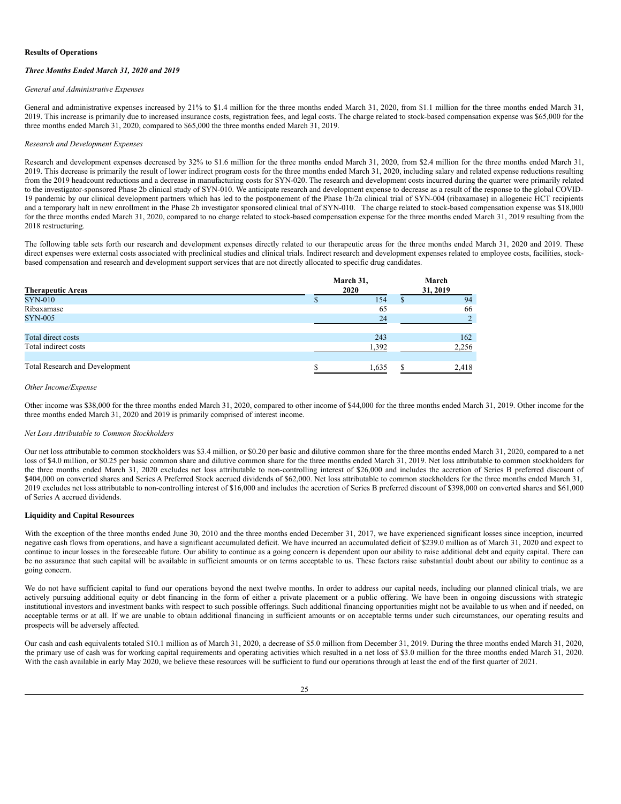### **Results of Operations**

# *Three Months Ended March 31, 2020 and 2019*

## *General and Administrative Expenses*

General and administrative expenses increased by 21% to \$1.4 million for the three months ended March 31, 2020, from \$1.1 million for the three months ended March 31, 2019. This increase is primarily due to increased insurance costs, registration fees, and legal costs. The charge related to stock-based compensation expense was \$65,000 for the three months ended March 31, 2020, compared to \$65,000 the three months ended March 31, 2019.

# *Research and Development Expenses*

Research and development expenses decreased by 32% to \$1.6 million for the three months ended March 31, 2020, from \$2.4 million for the three months ended March 31, 2019. This decrease is primarily the result of lower indirect program costs for the three months ended March 31, 2020, including salary and related expense reductions resulting from the 2019 headcount reductions and a decrease in manufacturing costs for SYN-020. The research and development costs incurred during the quarter were primarily related to the investigator-sponsored Phase 2b clinical study of SYN-010. We anticipate research and development expense to decrease as a result of the response to the global COVID-19 pandemic by our clinical development partners which has led to the postponement of the Phase 1b/2a clinical trial of SYN-004 (ribaxamase) in allogeneic HCT recipients and a temporary halt in new enrollment in the Phase 2b investigator sponsored clinical trial of SYN-010. The charge related to stock-based compensation expense was \$18,000 for the three months ended March 31, 2020, compared to no charge related to stock-based compensation expense for the three months ended March 31, 2019 resulting from the 2018 restructuring.

The following table sets forth our research and development expenses directly related to our therapeutic areas for the three months ended March 31, 2020 and 2019. These direct expenses were external costs associated with preclinical studies and clinical trials. Indirect research and development expenses related to employee costs, facilities, stockbased compensation and research and development support services that are not directly allocated to specific drug candidates.

| <b>Therapeutic Areas</b>              | March 31,<br>2020 | March<br>31, 2019 |
|---------------------------------------|-------------------|-------------------|
| <b>SYN-010</b>                        | 154               | 94                |
| Ribaxamase                            | 65                | 66                |
| <b>SYN-005</b>                        | 24                |                   |
|                                       |                   |                   |
| Total direct costs                    | 243               | 162               |
| Total indirect costs                  | 1,392             | 2,256             |
|                                       |                   |                   |
| <b>Total Research and Development</b> | 1,635             | 2,418             |

#### *Other Income/Expense*

Other income was \$38,000 for the three months ended March 31, 2020, compared to other income of \$44,000 for the three months ended March 31, 2019. Other income for the three months ended March 31, 2020 and 2019 is primarily comprised of interest income.

### *Net Loss Attributable to Common Stockholders*

Our net loss attributable to common stockholders was \$3.4 million, or \$0.20 per basic and dilutive common share for the three months ended March 31, 2020, compared to a net loss of \$4.0 million, or \$0.25 per basic common share and dilutive common share for the three months ended March 31, 2019. Net loss attributable to common stockholders for the three months ended March 31, 2020 excludes net loss attributable to non-controlling interest of \$26,000 and includes the accretion of Series B preferred discount of \$404,000 on converted shares and Series A Preferred Stock accrued dividends of \$62,000. Net loss attributable to common stockholders for the three months ended March 31, 2019 excludes net loss attributable to non-controlling interest of \$16,000 and includes the accretion of Series B preferred discount of \$398,000 on converted shares and \$61,000 of Series A accrued dividends.

# **Liquidity and Capital Resources**

With the exception of the three months ended June 30, 2010 and the three months ended December 31, 2017, we have experienced significant losses since inception, incurred negative cash flows from operations, and have a significant accumulated deficit. We have incurred an accumulated deficit of \$239.0 million as of March 31, 2020 and expect to continue to incur losses in the foreseeable future. Our ability to continue as a going concern is dependent upon our ability to raise additional debt and equity capital. There can be no assurance that such capital will be available in sufficient amounts or on terms acceptable to us. These factors raise substantial doubt about our ability to continue as a going concern.

We do not have sufficient capital to fund our operations beyond the next twelve months. In order to address our capital needs, including our planned clinical trials, we are actively pursuing additional equity or debt financing in the form of either a private placement or a public offering. We have been in ongoing discussions with strategic institutional investors and investment banks with respect to such possible offerings. Such additional financing opportunities might not be available to us when and if needed, on acceptable terms or at all. If we are unable to obtain additional financing in sufficient amounts or on acceptable terms under such circumstances, our operating results and prospects will be adversely affected.

Our cash and cash equivalents totaled \$10.1 million as of March 31, 2020, a decrease of \$5.0 million from December 31, 2019. During the three months ended March 31, 2020, the primary use of cash was for working capital requirements and operating activities which resulted in a net loss of \$3.0 million for the three months ended March 31, 2020. With the cash available in early May 2020, we believe these resources will be sufficient to fund our operations through at least the end of the first quarter of 2021.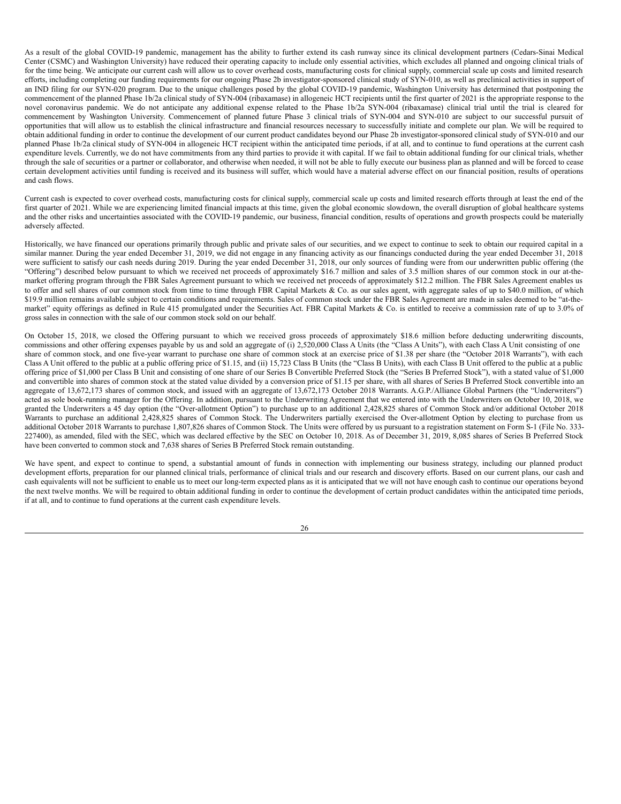As a result of the global COVID-19 pandemic, management has the ability to further extend its cash runway since its clinical development partners (Cedars-Sinai Medical Center (CSMC) and Washington University) have reduced their operating capacity to include only essential activities, which excludes all planned and ongoing clinical trials of for the time being. We anticipate our current cash will allow us to cover overhead costs, manufacturing costs for clinical supply, commercial scale up costs and limited research efforts, including completing our funding requirements for our ongoing Phase 2b investigator-sponsored clinical study of SYN-010, as well as preclinical activities in support of an IND filing for our SYN-020 program. Due to the unique challenges posed by the global COVID-19 pandemic, Washington University has determined that postponing the commencement of the planned Phase 1b/2a clinical study of SYN-004 (ribaxamase) in allogeneic HCT recipients until the first quarter of 2021 is the appropriate response to the novel coronavirus pandemic. We do not anticipate any additional expense related to the Phase 1b/2a SYN-004 (ribaxamase) clinical trial until the trial is cleared for commencement by Washington University. Commencement of planned future Phase 3 clinical trials of SYN-004 and SYN-010 are subject to our successful pursuit of opportunities that will allow us to establish the clinical infrastructure and financial resources necessary to successfully initiate and complete our plan. We will be required to obtain additional funding in order to continue the development of our current product candidates beyond our Phase 2b investigator-sponsored clinical study of SYN-010 and our planned Phase 1b/2a clinical study of SYN-004 in allogeneic HCT recipient within the anticipated time periods, if at all, and to continue to fund operations at the current cash expenditure levels. Currently, we do not have commitments from any third parties to provide it with capital. If we fail to obtain additional funding for our clinical trials, whether through the sale of securities or a partner or collaborator, and otherwise when needed, it will not be able to fully execute our business plan as planned and will be forced to cease certain development activities until funding is received and its business will suffer, which would have a material adverse effect on our financial position, results of operations and cash flows.

Current cash is expected to cover overhead costs, manufacturing costs for clinical supply, commercial scale up costs and limited research efforts through at least the end of the first quarter of 2021. While we are experiencing limited financial impacts at this time, given the global economic slowdown, the overall disruption of global healthcare systems and the other risks and uncertainties associated with the COVID-19 pandemic, our business, financial condition, results of operations and growth prospects could be materially adversely affected.

Historically, we have financed our operations primarily through public and private sales of our securities, and we expect to continue to seek to obtain our required capital in a similar manner. During the year ended December 31, 2019, we did not engage in any financing activity as our financings conducted during the year ended December 31, 2018 were sufficient to satisfy our cash needs during 2019. During the year ended December 31, 2018, our only sources of funding were from our underwritten public offering (the "Offering") described below pursuant to which we received net proceeds of approximately \$16.7 million and sales of 3.5 million shares of our common stock in our at-themarket offering program through the FBR Sales Agreement pursuant to which we received net proceeds of approximately \$12.2 million. The FBR Sales Agreement enables us to offer and sell shares of our common stock from time to time through FBR Capital Markets & Co. as our sales agent, with aggregate sales of up to \$40.0 million, of which \$19.9 million remains available subject to certain conditions and requirements. Sales of common stock under the FBR Sales Agreement are made in sales deemed to be "at-themarket" equity offerings as defined in Rule 415 promulgated under the Securities Act. FBR Capital Markets & Co. is entitled to receive a commission rate of up to 3.0% of gross sales in connection with the sale of our common stock sold on our behalf.

On October 15, 2018, we closed the Offering pursuant to which we received gross proceeds of approximately \$18.6 million before deducting underwriting discounts, commissions and other offering expenses payable by us and sold an aggregate of (i) 2,520,000 Class A Units (the "Class A Units"), with each Class A Unit consisting of one share of common stock, and one five-year warrant to purchase one share of common stock at an exercise price of \$1.38 per share (the "October 2018 Warrants"), with each Class A Unit offered to the public at a public offering price of \$1.15, and (ii) 15,723 Class B Units (the "Class B Units), with each Class B Unit offered to the public at a public offering price of \$1,000 per Class B Unit and consisting of one share of our Series B Convertible Preferred Stock (the "Series B Preferred Stock"), with a stated value of \$1,000 and convertible into shares of common stock at the stated value divided by a conversion price of \$1.15 per share, with all shares of Series B Preferred Stock convertible into an aggregate of 13,672,173 shares of common stock, and issued with an aggregate of 13,672,173 October 2018 Warrants. A.G.P./Alliance Global Partners (the "Underwriters") acted as sole book-running manager for the Offering. In addition, pursuant to the Underwriting Agreement that we entered into with the Underwriters on October 10, 2018, we granted the Underwriters a 45 day option (the "Over-allotment Option") to purchase up to an additional 2,428,825 shares of Common Stock and/or additional October 2018 Warrants to purchase an additional 2,428,825 shares of Common Stock. The Underwriters partially exercised the Over-allotment Option by electing to purchase from us additional October 2018 Warrants to purchase 1,807,826 shares of Common Stock. The Units were offered by us pursuant to a registration statement on Form S-1 (File No. 333-227400), as amended, filed with the SEC, which was declared effective by the SEC on October 10, 2018. As of December 31, 2019, 8,085 shares of Series B Preferred Stock have been converted to common stock and 7,638 shares of Series B Preferred Stock remain outstanding.

We have spent, and expect to continue to spend, a substantial amount of funds in connection with implementing our business strategy, including our planned product development efforts, preparation for our planned clinical trials, performance of clinical trials and our research and discovery efforts. Based on our current plans, our cash and cash equivalents will not be sufficient to enable us to meet our long-term expected plans as it is anticipated that we will not have enough cash to continue our operations beyond the next twelve months. We will be required to obtain additional funding in order to continue the development of certain product candidates within the anticipated time periods, if at all, and to continue to fund operations at the current cash expenditure levels.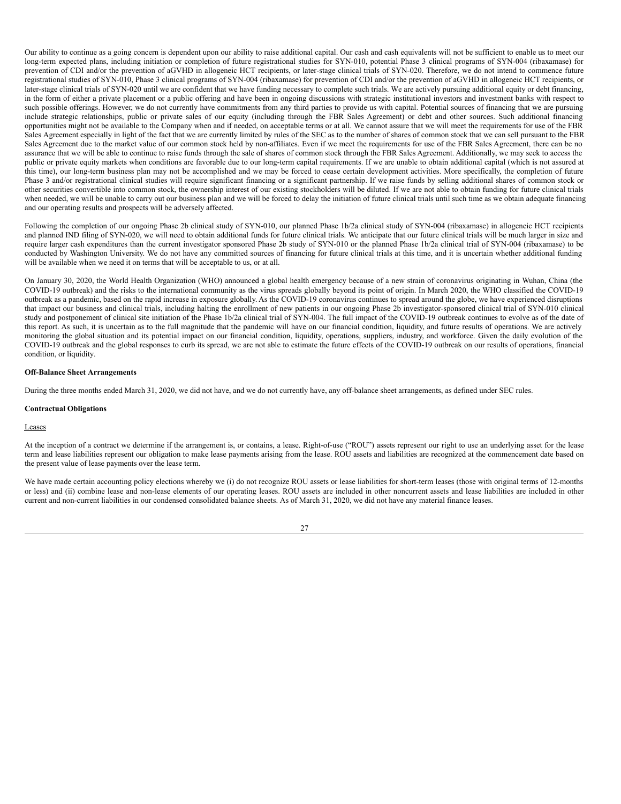Our ability to continue as a going concern is dependent upon our ability to raise additional capital. Our cash and cash equivalents will not be sufficient to enable us to meet our long-term expected plans, including initiation or completion of future registrational studies for SYN-010, potential Phase 3 clinical programs of SYN-004 (ribaxamase) for prevention of CDI and/or the prevention of aGVHD in allogeneic HCT recipients, or later-stage clinical trials of SYN-020. Therefore, we do not intend to commence future registrational studies of SYN-010, Phase 3 clinical programs of SYN-004 (ribaxamase) for prevention of CDI and/or the prevention of aGVHD in allogeneic HCT recipients, or later-stage clinical trials of SYN-020 until we are confident that we have funding necessary to complete such trials. We are actively pursuing additional equity or debt financing, in the form of either a private placement or a public offering and have been in ongoing discussions with strategic institutional investors and investment banks with respect to such possible offerings. However, we do not currently have commitments from any third parties to provide us with capital. Potential sources of financing that we are pursuing include strategic relationships, public or private sales of our equity (including through the FBR Sales Agreement) or debt and other sources. Such additional financing opportunities might not be available to the Company when and if needed, on acceptable terms or at all. We cannot assure that we will meet the requirements for use of the FBR Sales Agreement especially in light of the fact that we are currently limited by rules of the SEC as to the number of shares of common stock that we can sell pursuant to the FBR Sales Agreement due to the market value of our common stock held by non-affiliates. Even if we meet the requirements for use of the FBR Sales Agreement, there can be no assurance that we will be able to continue to raise funds through the sale of shares of common stock through the FBR Sales Agreement. Additionally, we may seek to access the public or private equity markets when conditions are favorable due to our long-term capital requirements. If we are unable to obtain additional capital (which is not assured at this time), our long-term business plan may not be accomplished and we may be forced to cease certain development activities. More specifically, the completion of future Phase 3 and/or registrational clinical studies will require significant financing or a significant partnership. If we raise funds by selling additional shares of common stock or other securities convertible into common stock, the ownership interest of our existing stockholders will be diluted. If we are not able to obtain funding for future clinical trials when needed, we will be unable to carry out our business plan and we will be forced to delay the initiation of future clinical trials until such time as we obtain adequate financing and our operating results and prospects will be adversely affected.

Following the completion of our ongoing Phase 2b clinical study of SYN-010, our planned Phase 1b/2a clinical study of SYN-004 (ribaxamase) in allogeneic HCT recipients and planned IND filing of SYN-020, we will need to obtain additional funds for future clinical trials. We anticipate that our future clinical trials will be much larger in size and require larger cash expenditures than the current investigator sponsored Phase 2b study of SYN-010 or the planned Phase 1b/2a clinical trial of SYN-004 (ribaxamase) to be conducted by Washington University. We do not have any committed sources of financing for future clinical trials at this time, and it is uncertain whether additional funding will be available when we need it on terms that will be acceptable to us, or at all.

On January 30, 2020, the World Health Organization (WHO) announced a global health emergency because of a new strain of coronavirus originating in Wuhan, China (the COVID-19 outbreak) and the risks to the international community as the virus spreads globally beyond its point of origin. In March 2020, the WHO classified the COVID-19 outbreak as a pandemic, based on the rapid increase in exposure globally. As the COVID-19 coronavirus continues to spread around the globe, we have experienced disruptions that impact our business and clinical trials, including halting the enrollment of new patients in our ongoing Phase 2b investigator-sponsored clinical trial of SYN-010 clinical study and postponement of clinical site initiation of the Phase 1b/2a clinical trial of SYN-004. The full impact of the COVID-19 outbreak continues to evolve as of the date of this report. As such, it is uncertain as to the full magnitude that the pandemic will have on our financial condition, liquidity, and future results of operations. We are actively monitoring the global situation and its potential impact on our financial condition, liquidity, operations, suppliers, industry, and workforce. Given the daily evolution of the COVID-19 outbreak and the global responses to curb its spread, we are not able to estimate the future effects of the COVID-19 outbreak on our results of operations, financial condition, or liquidity.

### **Off-Balance Sheet Arrangements**

During the three months ended March 31, 2020, we did not have, and we do not currently have, any off-balance sheet arrangements, as defined under SEC rules.

#### **Contractual Obligations**

#### Leases

At the inception of a contract we determine if the arrangement is, or contains, a lease. Right-of-use ("ROU") assets represent our right to use an underlying asset for the lease term and lease liabilities represent our obligation to make lease payments arising from the lease. ROU assets and liabilities are recognized at the commencement date based on the present value of lease payments over the lease term.

We have made certain accounting policy elections whereby we (i) do not recognize ROU assets or lease liabilities for short-term leases (those with original terms of 12-months or less) and (ii) combine lease and non-lease elements of our operating leases. ROU assets are included in other noncurrent assets and lease liabilities are included in other current and non-current liabilities in our condensed consolidated balance sheets. As of March 31, 2020, we did not have any material finance leases.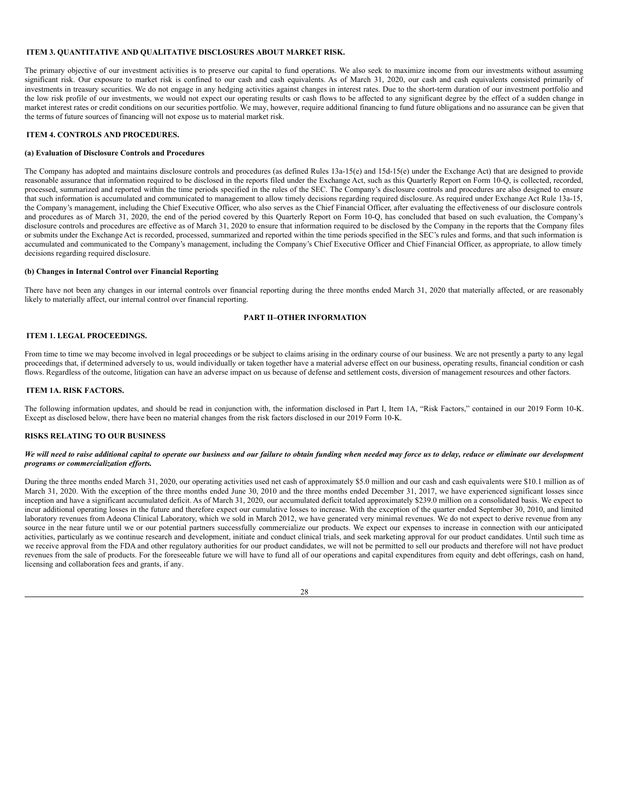## <span id="page-28-0"></span>**ITEM 3. QUANTITATIVE AND QUALITATIVE DISCLOSURES ABOUT MARKET RISK.**

The primary objective of our investment activities is to preserve our capital to fund operations. We also seek to maximize income from our investments without assuming significant risk. Our exposure to market risk is confined to our cash and cash equivalents. As of March 31, 2020, our cash and cash equivalents consisted primarily of investments in treasury securities. We do not engage in any hedging activities against changes in interest rates. Due to the short-term duration of our investment portfolio and the low risk profile of our investments, we would not expect our operating results or cash flows to be affected to any significant degree by the effect of a sudden change in market interest rates or credit conditions on our securities portfolio. We may, however, require additional financing to fund future obligations and no assurance can be given that the terms of future sources of financing will not expose us to material market risk.

# <span id="page-28-1"></span>**ITEM 4. CONTROLS AND PROCEDURES.**

### **(a) Evaluation of Disclosure Controls and Procedures**

The Company has adopted and maintains disclosure controls and procedures (as defined Rules 13a-15(e) and 15d-15(e) under the Exchange Act) that are designed to provide reasonable assurance that information required to be disclosed in the reports filed under the Exchange Act, such as this Quarterly Report on Form 10-Q, is collected, recorded, processed, summarized and reported within the time periods specified in the rules of the SEC. The Company's disclosure controls and procedures are also designed to ensure that such information is accumulated and communicated to management to allow timely decisions regarding required disclosure. As required under Exchange Act Rule 13a-15, the Company's management, including the Chief Executive Officer, who also serves as the Chief Financial Officer, after evaluating the effectiveness of our disclosure controls and procedures as of March 31, 2020, the end of the period covered by this Quarterly Report on Form 10-Q, has concluded that based on such evaluation, the Company's disclosure controls and procedures are effective as of March 31, 2020 to ensure that information required to be disclosed by the Company in the reports that the Company files or submits under the Exchange Act is recorded, processed, summarized and reported within the time periods specified in the SEC's rules and forms, and that such information is accumulated and communicated to the Company's management, including the Company's Chief Executive Officer and Chief Financial Officer, as appropriate, to allow timely decisions regarding required disclosure.

# **(b) Changes in Internal Control over Financial Reporting**

There have not been any changes in our internal controls over financial reporting during the three months ended March 31, 2020 that materially affected, or are reasonably likely to materially affect, our internal control over financial reporting.

# <span id="page-28-2"></span>**PART II–OTHER INFORMATION**

# <span id="page-28-3"></span>**ITEM 1. LEGAL PROCEEDINGS.**

From time to time we may become involved in legal proceedings or be subject to claims arising in the ordinary course of our business. We are not presently a party to any legal proceedings that, if determined adversely to us, would individually or taken together have a material adverse effect on our business, operating results, financial condition or cash flows. Regardless of the outcome, litigation can have an adverse impact on us because of defense and settlement costs, diversion of management resources and other factors.

# <span id="page-28-4"></span>**ITEM 1A. RISK FACTORS.**

The following information updates, and should be read in conjunction with, the information disclosed in Part I, Item 1A, "Risk Factors," contained in our 2019 Form 10-K. Except as disclosed below, there have been no material changes from the risk factors disclosed in our 2019 Form 10-K.

# **RISKS RELATING TO OUR BUSINESS**

## We will need to raise additional capital to operate our business and our failure to obtain funding when needed may force us to delay, reduce or eliminate our development *programs or commercialization ef orts.*

During the three months ended March 31, 2020, our operating activities used net cash of approximately \$5.0 million and our cash and cash equivalents were \$10.1 million as of March 31, 2020. With the exception of the three months ended June 30, 2010 and the three months ended December 31, 2017, we have experienced significant losses since inception and have a significant accumulated deficit. As of March 31, 2020, our accumulated deficit totaled approximately \$239.0 million on a consolidated basis. We expect to incur additional operating losses in the future and therefore expect our cumulative losses to increase. With the exception of the quarter ended September 30, 2010, and limited laboratory revenues from Adeona Clinical Laboratory, which we sold in March 2012, we have generated very minimal revenues. We do not expect to derive revenue from any source in the near future until we or our potential partners successfully commercialize our products. We expect our expenses to increase in connection with our anticipated activities, particularly as we continue research and development, initiate and conduct clinical trials, and seek marketing approval for our product candidates. Until such time as we receive approval from the FDA and other regulatory authorities for our product candidates, we will not be permitted to sell our products and therefore will not have product revenues from the sale of products. For the foreseeable future we will have to fund all of our operations and capital expenditures from equity and debt offerings, cash on hand, licensing and collaboration fees and grants, if any.

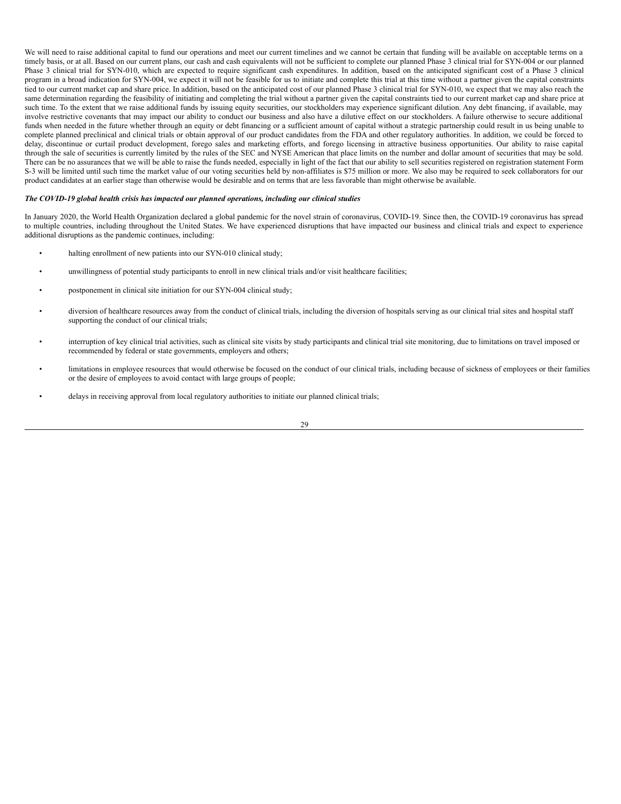We will need to raise additional capital to fund our operations and meet our current timelines and we cannot be certain that funding will be available on acceptable terms on a timely basis, or at all. Based on our current plans, our cash and cash equivalents will not be sufficient to complete our planned Phase 3 clinical trial for SYN-004 or our planned Phase 3 clinical trial for SYN-010, which are expected to require significant cash expenditures. In addition, based on the anticipated significant cost of a Phase 3 clinical program in a broad indication for SYN-004, we expect it will not be feasible for us to initiate and complete this trial at this time without a partner given the capital constraints tied to our current market cap and share price. In addition, based on the anticipated cost of our planned Phase 3 clinical trial for SYN-010, we expect that we may also reach the same determination regarding the feasibility of initiating and completing the trial without a partner given the capital constraints tied to our current market cap and share price at such time. To the extent that we raise additional funds by issuing equity securities, our stockholders may experience significant dilution. Any debt financing, if available, may involve restrictive covenants that may impact our ability to conduct our business and also have a dilutive effect on our stockholders. A failure otherwise to secure additional funds when needed in the future whether through an equity or debt financing or a sufficient amount of capital without a strategic partnership could result in us being unable to complete planned preclinical and clinical trials or obtain approval of our product candidates from the FDA and other regulatory authorities. In addition, we could be forced to delay, discontinue or curtail product development, forego sales and marketing efforts, and forego licensing in attractive business opportunities. Our ability to raise capital through the sale of securities is currently limited by the rules of the SEC and NYSE American that place limits on the number and dollar amount of securities that may be sold. There can be no assurances that we will be able to raise the funds needed, especially in light of the fact that our ability to sell securities registered on registration statement Form S-3 will be limited until such time the market value of our voting securities held by non-affiliates is \$75 million or more. We also may be required to seek collaborators for our product candidates at an earlier stage than otherwise would be desirable and on terms that are less favorable than might otherwise be available.

#### *The COVID-19 global health crisis has impacted our planned operations, including our clinical studies*

In January 2020, the World Health Organization declared a global pandemic for the novel strain of coronavirus, COVID-19. Since then, the COVID-19 coronavirus has spread to multiple countries, including throughout the United States. We have experienced disruptions that have impacted our business and clinical trials and expect to experience additional disruptions as the pandemic continues, including:

- halting enrollment of new patients into our SYN-010 clinical study;
- unwillingness of potential study participants to enroll in new clinical trials and/or visit healthcare facilities;
- postponement in clinical site initiation for our SYN-004 clinical study;
- diversion of healthcare resources away from the conduct of clinical trials, including the diversion of hospitals serving as our clinical trial sites and hospital staff supporting the conduct of our clinical trials;
- interruption of key clinical trial activities, such as clinical site visits by study participants and clinical trial site monitoring, due to limitations on travel imposed or recommended by federal or state governments, employers and others;
- limitations in employee resources that would otherwise be focused on the conduct of our clinical trials, including because of sickness of employees or their families or the desire of employees to avoid contact with large groups of people;
- delays in receiving approval from local regulatory authorities to initiate our planned clinical trials;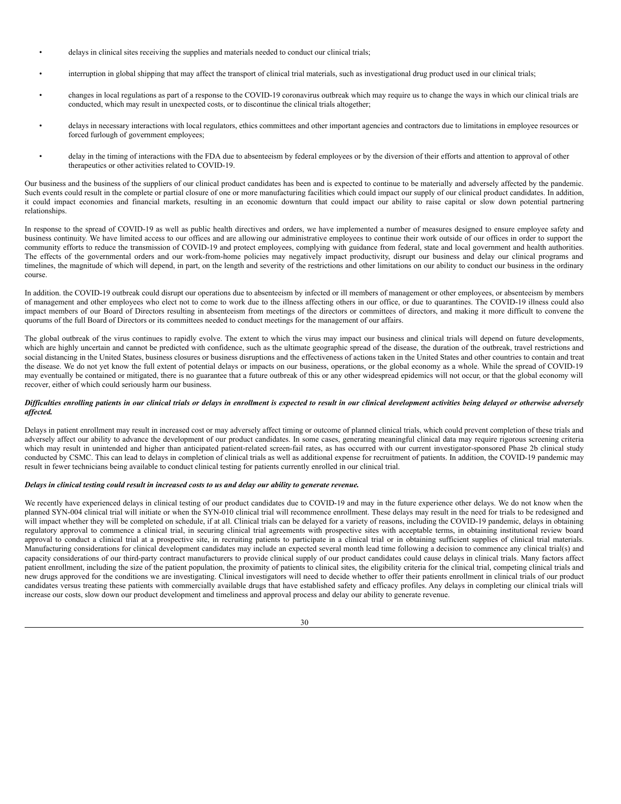- delays in clinical sites receiving the supplies and materials needed to conduct our clinical trials;
- interruption in global shipping that may affect the transport of clinical trial materials, such as investigational drug product used in our clinical trials;
- changes in local regulations as part of a response to the COVID-19 coronavirus outbreak which may require us to change the ways in which our clinical trials are conducted, which may result in unexpected costs, or to discontinue the clinical trials altogether;
- delays in necessary interactions with local regulators, ethics committees and other important agencies and contractors due to limitations in employee resources or forced furlough of government employees;
- delay in the timing of interactions with the FDA due to absenteeism by federal employees or by the diversion of their efforts and attention to approval of other therapeutics or other activities related to COVID-19.

Our business and the business of the suppliers of our clinical product candidates has been and is expected to continue to be materially and adversely affected by the pandemic. Such events could result in the complete or partial closure of one or more manufacturing facilities which could impact our supply of our clinical product candidates. In addition, it could impact economies and financial markets, resulting in an economic downturn that could impact our ability to raise capital or slow down potential partnering relationships.

In response to the spread of COVID-19 as well as public health directives and orders, we have implemented a number of measures designed to ensure employee safety and business continuity. We have limited access to our offices and are allowing our administrative employees to continue their work outside of our offices in order to support the community efforts to reduce the transmission of COVID-19 and protect employees, complying with guidance from federal, state and local government and health authorities. The effects of the governmental orders and our work-from-home policies may negatively impact productivity, disrupt our business and delay our clinical programs and timelines, the magnitude of which will depend, in part, on the length and severity of the restrictions and other limitations on our ability to conduct our business in the ordinary course.

In addition. the COVID-19 outbreak could disrupt our operations due to absenteeism by infected or ill members of management or other employees, or absenteeism by members of management and other employees who elect not to come to work due to the illness affecting others in our office, or due to quarantines. The COVID-19 illness could also impact members of our Board of Directors resulting in absenteeism from meetings of the directors or committees of directors, and making it more difficult to convene the quorums of the full Board of Directors or its committees needed to conduct meetings for the management of our affairs.

The global outbreak of the virus continues to rapidly evolve. The extent to which the virus may impact our business and clinical trials will depend on future developments, which are highly uncertain and cannot be predicted with confidence, such as the ultimate geographic spread of the disease, the duration of the outbreak, travel restrictions and social distancing in the United States, business closures or business disruptions and the effectiveness of actions taken in the United States and other countries to contain and treat the disease. We do not yet know the full extent of potential delays or impacts on our business, operations, or the global economy as a whole. While the spread of COVID-19 may eventually be contained or mitigated, there is no guarantee that a future outbreak of this or any other widespread epidemics will not occur, or that the global economy will recover, either of which could seriously harm our business.

# Difficulties enrolling patients in our clinical trials or delays in enrollment is expected to result in our clinical development activities being delayed or otherwise adversely *af ected.*

Delays in patient enrollment may result in increased cost or may adversely affect timing or outcome of planned clinical trials, which could prevent completion of these trials and adversely affect our ability to advance the development of our product candidates. In some cases, generating meaningful clinical data may require rigorous screening criteria which may result in unintended and higher than anticipated patient-related screen-fail rates, as has occurred with our current investigator-sponsored Phase 2b clinical study conducted by CSMC. This can lead to delays in completion of clinical trials as well as additional expense for recruitment of patients. In addition, the COVID-19 pandemic may result in fewer technicians being available to conduct clinical testing for patients currently enrolled in our clinical trial.

# Delays in clinical testing could result in increased costs to us and delay our ability to generate revenue.

We recently have experienced delays in clinical testing of our product candidates due to COVID-19 and may in the future experience other delays. We do not know when the planned SYN-004 clinical trial will initiate or when the SYN-010 clinical trial will recommence enrollment. These delays may result in the need for trials to be redesigned and will impact whether they will be completed on schedule, if at all. Clinical trials can be delayed for a variety of reasons, including the COVID-19 pandemic, delays in obtaining regulatory approval to commence a clinical trial, in securing clinical trial agreements with prospective sites with acceptable terms, in obtaining institutional review board approval to conduct a clinical trial at a prospective site, in recruiting patients to participate in a clinical trial or in obtaining sufficient supplies of clinical trial materials. Manufacturing considerations for clinical development candidates may include an expected several month lead time following a decision to commence any clinical trial(s) and capacity considerations of our third-party contract manufacturers to provide clinical supply of our product candidates could cause delays in clinical trials. Many factors affect patient enrollment, including the size of the patient population, the proximity of patients to clinical sites, the eligibility criteria for the clinical trial, competing clinical trials and new drugs approved for the conditions we are investigating. Clinical investigators will need to decide whether to offer their patients enrollment in clinical trials of our product candidates versus treating these patients with commercially available drugs that have established safety and efficacy profiles. Any delays in completing our clinical trials will increase our costs, slow down our product development and timeliness and approval process and delay our ability to generate revenue.

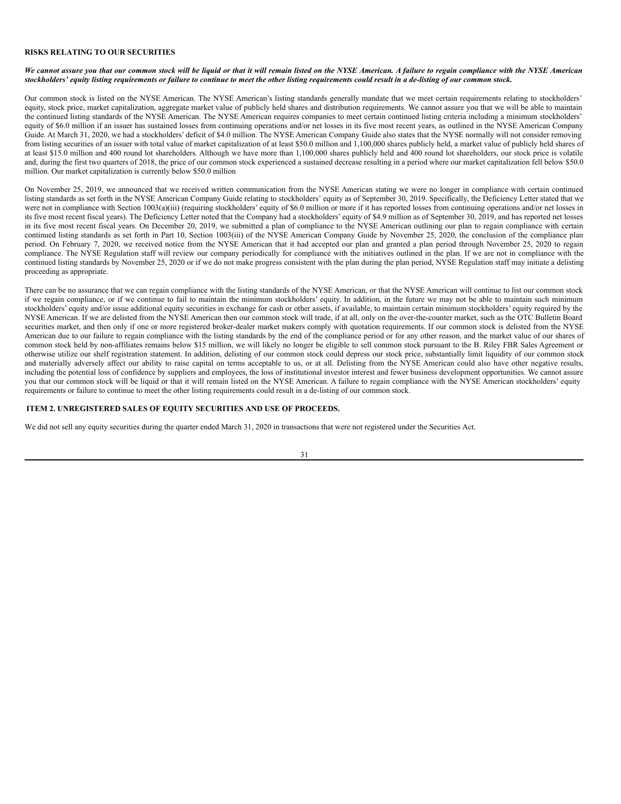# **RISKS RELATING TO OUR SECURITIES**

We cannot assure you that our common stock will be liquid or that it will remain listed on the NYSE American. A failure to regain compliance with the NYSE American stockholders' equity listing requirements or failure to continue to meet the other listing requirements could result in a de-listing of our common stock.

Our common stock is listed on the NYSE American. The NYSE American's listing standards generally mandate that we meet certain requirements relating to stockholders' equity, stock price, market capitalization, aggregate market value of publicly held shares and distribution requirements. We cannot assure you that we will be able to maintain the continued listing standards of the NYSE American. The NYSE American requires companies to meet certain continued listing criteria including a minimum stockholders' equity of \$6.0 million if an issuer has sustained losses from continuing operations and/or net losses in its five most recent years, as outlined in the NYSE American Company Guide. At March 31, 2020, we had a stockholders' deficit of \$4.0 million. The NYSE American Company Guide also states that the NYSE normally will not consider removing from listing securities of an issuer with total value of market capitalization of at least \$50.0 million and 1,100,000 shares publicly held, a market value of publicly held shares of at least \$15.0 million and 400 round lot shareholders. Although we have more than 1,100,000 shares publicly held and 400 round lot shareholders, our stock price is volatile and, during the first two quarters of 2018, the price of our common stock experienced a sustained decrease resulting in a period where our market capitalization fell below \$50.0 million. Our market capitalization is currently below \$50.0 million

On November 25, 2019, we announced that we received written communication from the NYSE American stating we were no longer in compliance with certain continued listing standards as set forth in the NYSE American Company Guide relating to stockholders' equity as of September 30, 2019. Specifically, the Deficiency Letter stated that we were not in compliance with Section 1003(a)(iii) (requiring stockholders' equity of \$6.0 million or more if it has reported losses from continuing operations and/or net losses in its five most recent fiscal years). The Deficiency Letter noted that the Company had a stockholders' equity of \$4.9 million as of September 30, 2019, and has reported net losses in its five most recent fiscal years. On December 20, 2019, we submitted a plan of compliance to the NYSE American outlining our plan to regain compliance with certain continued listing standards as set forth in Part 10, Section 1003(iii) of the NYSE American Company Guide by November 25, 2020, the conclusion of the compliance plan period. On February 7, 2020, we received notice from the NYSE American that it had accepted our plan and granted a plan period through November 25, 2020 to regain compliance. The NYSE Regulation staff will review our company periodically for compliance with the initiatives outlined in the plan. If we are not in compliance with the continued listing standards by November 25, 2020 or if we do not make progress consistent with the plan during the plan period, NYSE Regulation staff may initiate a delisting proceeding as appropriate.

There can be no assurance that we can regain compliance with the listing standards of the NYSE American, or that the NYSE American will continue to list our common stock if we regain compliance, or if we continue to fail to maintain the minimum stockholders' equity. In addition, in the future we may not be able to maintain such minimum stockholders' equity and/or issue additional equity securities in exchange for cash or other assets, if available, to maintain certain minimum stockholders' equity required by the NYSE American. If we are delisted from the NYSE American then our common stock will trade, if at all, only on the over-the-counter market, such as the OTC Bulletin Board securities market, and then only if one or more registered broker-dealer market makers comply with quotation requirements. If our common stock is delisted from the NYSE American due to our failure to regain compliance with the listing standards by the end of the compliance period or for any other reason, and the market value of our shares of common stock held by non-affiliates remains below \$15 million, we will likely no longer be eligible to sell common stock pursuant to the B. Riley FBR Sales Agreement or otherwise utilize our shelf registration statement. In addition, delisting of our common stock could depress our stock price, substantially limit liquidity of our common stock and materially adversely affect our ability to raise capital on terms acceptable to us, or at all. Delisting from the NYSE American could also have other negative results, including the potential loss of confidence by suppliers and employees, the loss of institutional investor interest and fewer business development opportunities. We cannot assure you that our common stock will be liquid or that it will remain listed on the NYSE American. A failure to regain compliance with the NYSE American stockholders' equity requirements or failure to continue to meet the other listing requirements could result in a de-listing of our common stock.

# <span id="page-31-0"></span>**ITEM 2. UNREGISTERED SALES OF EQUITY SECURITIES AND USE OF PROCEEDS.**

We did not sell any equity securities during the quarter ended March 31, 2020 in transactions that were not registered under the Securities Act.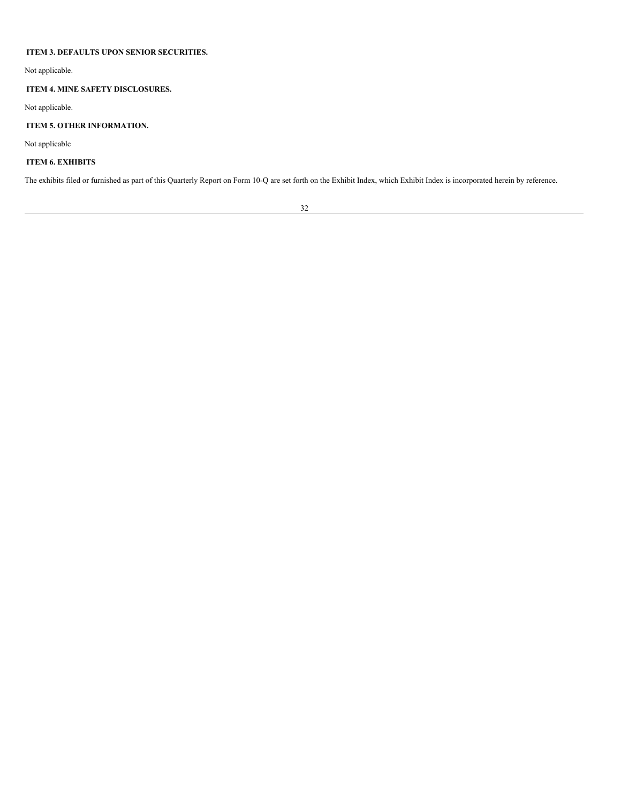# <span id="page-32-0"></span>**ITEM 3. DEFAULTS UPON SENIOR SECURITIES.**

Not applicable.

# <span id="page-32-1"></span>**ITEM 4. MINE SAFETY DISCLOSURES.**

Not applicable.

# <span id="page-32-2"></span>**ITEM 5. OTHER INFORMATION.**

Not applicable

# <span id="page-32-3"></span>**ITEM 6. EXHIBITS**

The exhibits filed or furnished as part of this Quarterly Report on Form 10-Q are set forth on the Exhibit Index, which Exhibit Index is incorporated herein by reference.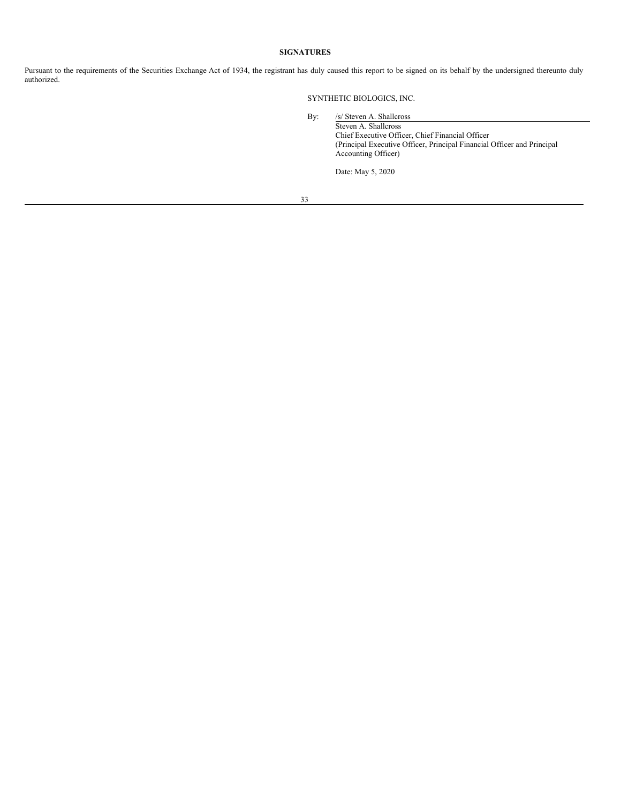# <span id="page-33-0"></span>**SIGNATURES**

Pursuant to the requirements of the Securities Exchange Act of 1934, the registrant has duly caused this report to be signed on its behalf by the undersigned thereunto duly authorized.

SYNTHETIC BIOLOGICS, INC.

By: /s/ Steven A. Shallcross Steven A. Shallcross Chief Executive Officer, Chief Financial Officer (Principal Executive Officer, Principal Financial Officer and Principal Accounting Officer)

Date: May 5, 2020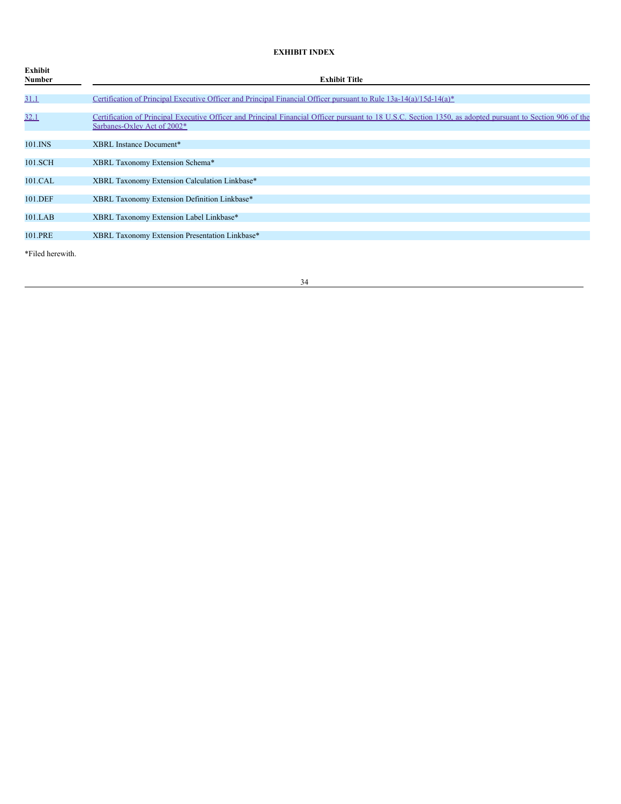# **EXHIBIT INDEX**

| Exhibit<br><b>Number</b> | <b>Exhibit Title</b>                                                                                                                                                                      |
|--------------------------|-------------------------------------------------------------------------------------------------------------------------------------------------------------------------------------------|
| <u>31.1</u>              | Certification of Principal Executive Officer and Principal Financial Officer pursuant to Rule $13a-14(a)/15d-14(a)^*$                                                                     |
| 32.1                     | Certification of Principal Executive Officer and Principal Financial Officer pursuant to 18 U.S.C. Section 1350, as adopted pursuant to Section 906 of the<br>Sarbanes-Oxley Act of 2002* |
| 101.INS                  | <b>XBRL</b> Instance Document*                                                                                                                                                            |
| 101.SCH                  | XBRL Taxonomy Extension Schema*                                                                                                                                                           |
| 101.CAL                  | XBRL Taxonomy Extension Calculation Linkbase*                                                                                                                                             |
| 101.DEF                  | XBRL Taxonomy Extension Definition Linkbase*                                                                                                                                              |
| 101.LAB                  | XBRL Taxonomy Extension Label Linkbase*                                                                                                                                                   |
| 101.PRE                  | XBRL Taxonomy Extension Presentation Linkbase*                                                                                                                                            |
| *Filed herewith.         |                                                                                                                                                                                           |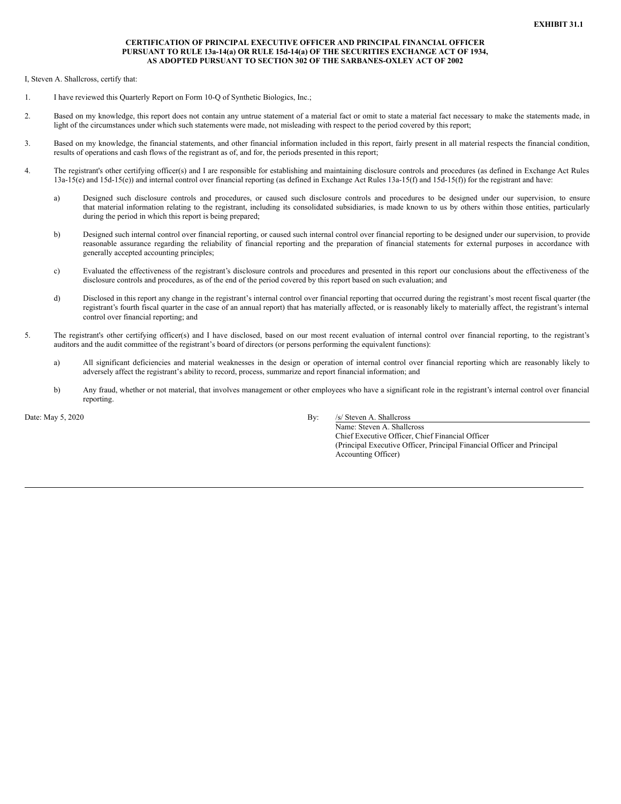# **CERTIFICATION OF PRINCIPAL EXECUTIVE OFFICER AND PRINCIPAL FINANCIAL OFFICER PURSUANT TO RULE 13a-14(a) OR RULE 15d-14(a) OF THE SECURITIES EXCHANGE ACT OF 1934, AS ADOPTED PURSUANT TO SECTION 302 OF THE SARBANES-OXLEY ACT OF 2002**

<span id="page-35-0"></span>I, Steven A. Shallcross, certify that:

- 1. I have reviewed this Quarterly Report on Form 10-Q of Synthetic Biologics, Inc.;
- 2. Based on my knowledge, this report does not contain any untrue statement of a material fact or omit to state a material fact necessary to make the statements made, in light of the circumstances under which such statements were made, not misleading with respect to the period covered by this report;
- 3. Based on my knowledge, the financial statements, and other financial information included in this report, fairly present in all material respects the financial condition, results of operations and cash flows of the registrant as of, and for, the periods presented in this report;
- 4. The registrant's other certifying officer(s) and I are responsible for establishing and maintaining disclosure controls and procedures (as defined in Exchange Act Rules  $13a-15(e)$  and  $15d-15(e)$  and internal control over financial reporting (as defined in Exchange Act Rules  $13a-15(f)$  and  $15d-15(f)$ ) for the registrant and have:
	- a) Designed such disclosure controls and procedures, or caused such disclosure controls and procedures to be designed under our supervision, to ensure that material information relating to the registrant, including its consolidated subsidiaries, is made known to us by others within those entities, particularly during the period in which this report is being prepared;
	- b) Designed such internal control over financial reporting, or caused such internal control over financial reporting to be designed under our supervision, to provide reasonable assurance regarding the reliability of financial reporting and the preparation of financial statements for external purposes in accordance with generally accepted accounting principles;
	- c) Evaluated the effectiveness of the registrant's disclosure controls and procedures and presented in this report our conclusions about the effectiveness of the disclosure controls and procedures, as of the end of the period covered by this report based on such evaluation; and
	- d) Disclosed in this report any change in the registrant's internal control over financial reporting that occurred during the registrant's most recent fiscal quarter (the registrant's fourth fiscal quarter in the case of an annual report) that has materially affected, or is reasonably likely to materially affect, the registrant's internal control over financial reporting; and
- 5. The registrant's other certifying officer(s) and I have disclosed, based on our most recent evaluation of internal control over financial reporting, to the registrant's auditors and the audit committee of the registrant's board of directors (or persons performing the equivalent functions):
	- a) All significant deficiencies and material weaknesses in the design or operation of internal control over financial reporting which are reasonably likely to adversely affect the registrant's ability to record, process, summarize and report financial information; and
	- b) Any fraud, whether or not material, that involves management or other employees who have a significant role in the registrant's internal control over financial reporting.

Date: May 5, 2020 By: /s/ Steven A. Shallcross

Name: Steven A. Shallcross Chief Executive Officer, Chief Financial Officer (Principal Executive Officer, Principal Financial Officer and Principal Accounting Officer)